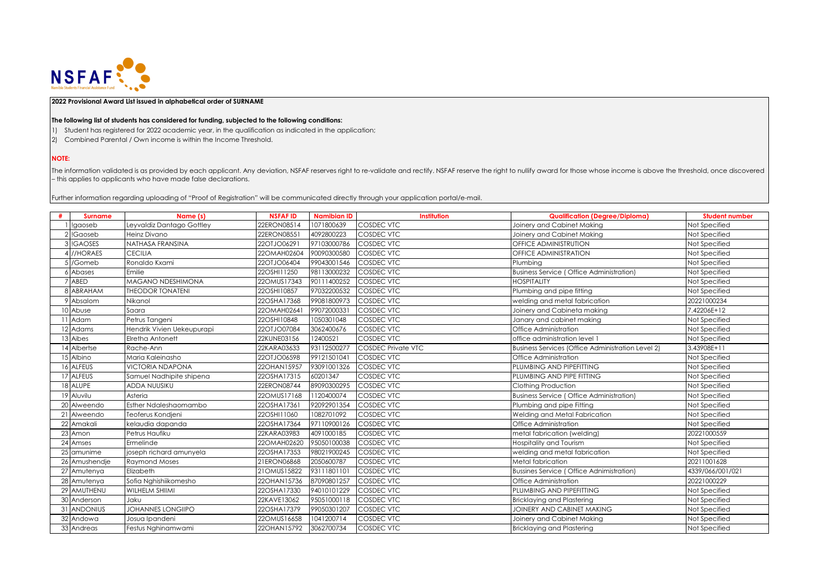

## **2022 Provisional Award List issued in alphabetical order of SURNAME**

## **The following list of students has considered for funding, subjected to the following conditions:**

- 1) Student has registered for 2022 academic year, in the qualification as indicated in the application;
- 2) Combined Parental / Own income is within the Income Threshold.

## **NOTE:**

The information validated is as provided by each applicant. Any deviation, NSFAF reserves right to re-validate and rectify. NSFAF reserve the right to nullify award for those whose income is above the threshold, once disco – this applies to applicants who have made false declarations.

Further information regarding uploading of "Proof of Registration" will be communicated directly through your application portal/e-mail.

|     | <b>Surname</b>  | Name (s)                   | <b>NSFAFID</b> | <b>Namibian ID</b> | Institution               | <b>Qualification (Degree/Diploma)</b>             | <b>Student number</b> |
|-----|-----------------|----------------------------|----------------|--------------------|---------------------------|---------------------------------------------------|-----------------------|
|     | !gaoseb         | Leyvaldiz Dantago Gottley  | 22ERON08514    | 1071800639         | <b>COSDEC VTC</b>         | Joinery and Cabinet Making                        | Not Specified         |
|     | !Gaoseb         | <b>Heinz Divano</b>        | 22ERON08551    | 4092800223         | <b>COSDEC VTC</b>         | Joinery and Cabinet Making                        | Not Specified         |
|     | 3 IGAOSES       | NATHASA FRANSINA           | 22OTJO06291    | 97103000786        | <b>COSDEC VTC</b>         | <b>OFFICE ADMINISTRUTION</b>                      | Not Specified         |
|     | 4 //HORAES      | <b>CECILIA</b>             | 22OMAH02604    | 90090300580        | <b>COSDEC VTC</b>         | <b>OFFICE ADMINISTRATION</b>                      | Not Specified         |
|     | /Gomeb          | Ronaldo Kxami              | 22OTJO06404    | 99043001546        | <b>COSDEC VTC</b>         | Plumbing                                          | Not Specified         |
|     | Abases          | Emilie                     | 22OSHI11250    | 98113000232        | <b>COSDEC VTC</b>         | <b>Business Service (Office Administration)</b>   | Not Specified         |
|     | ABED            | MAGANO NDESHIMONA          | 22OMUS17343    | 90111400252        | <b>COSDEC VTC</b>         | <b>HOSPITALITY</b>                                | Not Specified         |
|     | 8 ABRAHAM       | <b>THEODOR TONATENI</b>    | 22OSHI10857    | 97032200532        | <b>COSDEC VTC</b>         | Plumbing and pipe fitting                         | Not Specified         |
|     | 9 Absalom       | Nikanol                    | 22OSHA17368    | 99081800973        | <b>COSDEC VTC</b>         | welding and metal fabrication                     | 20221000234           |
|     | 10 Abuse        | Saara                      | 22OMAH0264     | 99072000331        | <b>COSDEC VTC</b>         | Joinery and Cabineta making                       | 7.42206E+12           |
|     | Adam            | Petrus Tangeni             | 22OSHI10848    | 1050301048         | <b>COSDEC VTC</b>         | Janary and cabinet making                         | Not Specified         |
|     | 12 Adams        | Hendrik Vivien Uekeupurapi | 22OTJO07084    | 3062400676         | <b>COSDEC VTC</b>         | Office Administration                             | Not Specified         |
|     | 13 Aibes        | Elretha Antonett           | 22KUNE03156    | 12400521           | <b>COSDEC VTC</b>         | office administration level 1                     | Not Specified         |
|     | 14 Albertse     | Rache-Ann                  | 22KARA03633    | 93112500277        | <b>COSDEC Private VTC</b> | Business Services (Office Administration Level 2) | 3.43908E+11           |
|     | 15 Albino       | Maria Kaleinasho           | 22OTJO06598    | 99121501041        | <b>COSDEC VTC</b>         | <b>Office Administration</b>                      | Not Specified         |
|     | 16 ALFEUS       | <b>VICTORIA NDAPONA</b>    | 22OHAN15957    | 93091001326        | <b>COSDEC VTC</b>         | PLUMBING AND PIPEFITTING                          | Not Specified         |
|     | 17 ALFEUS       | Samuel Nadhipite shipena   | 22OSHA17315    | 60201347           | <b>COSDEC VTC</b>         | PLUMBING AND PIPE FITTING                         | Not Specified         |
|     | 18 ALUPE        | <b>ADDA NUUSIKU</b>        | 22ERON08744    | 89090300295        | <b>COSDEC VTC</b>         | Clothing Production                               | Not Specified         |
|     | 19 Aluvilu      | Asteria                    | 22OMUS17168    | 1120400074         | <b>COSDEC VTC</b>         | <b>Business Service (Office Administration)</b>   | Not Specified         |
|     | 20 Alweendo     | Esther Ndaleshaomambo      | 22OSHA17361    | 92092901354        | <b>COSDEC VTC</b>         | Plumbing and pipe Fitting                         | Not Specified         |
| 211 | Alweendo        | Teoferus Kondjeni          | 22OSHI11060    | 1082701092         | <b>COSDEC VTC</b>         | Welding and Metal Fabrication                     | Not Specified         |
|     | 22 Amakali      | kelaudia dapanda           | 22OSHA17364    | 97110900126        | <b>COSDEC VTC</b>         | Office Administration                             | Not Specified         |
|     | 23 Amon         | Petrus Haufiku             | 22KARA03983    | 4091000185         | <b>COSDEC VTC</b>         | metal fabrication (welding)                       | 20221000559           |
| 24  | Amses           | Ermelinde                  | 22OMAH02620    | 95050100038        | <b>COSDEC VTC</b>         | Hospitality and Tourism                           | Not Specified         |
|     | 25 amunime      | joseph richard amunyela    | 22OSHA17353    | 98021900245        | <b>COSDEC VTC</b>         | welding and metal fabrication                     | Not Specified         |
|     | 26 Amushendje   | <b>Raymond Moses</b>       | 21ERON06868    | 2050600787         | <b>COSDEC VTC</b>         | Metal fabrication                                 | 20211001628           |
|     | 27 Amutenya     | Elizabeth                  | 21OMUS15822    | 93111801101        | <b>COSDEC VTC</b>         | <b>Bussines Service (Office Adnimistration)</b>   | 4339/066/001/021      |
|     | 28 Amutenya     | Sofia Nghishiikomesho      | 22OHAN15736    | 87090801257        | <b>COSDEC VTC</b>         | Office Administration                             | 20221000229           |
|     | 29 AMUTHENU     | <b>WILHELM SHIIMI</b>      | 22OSHA17330    | 94010101229        | <b>COSDEC VTC</b>         | PLUMBING AND PIPEFITTING                          | Not Specified         |
|     | 30 Anderson     | Jaku                       | 22KAVE13062    | 95051000118        | <b>COSDEC VTC</b>         | <b>Bricklaying and Plastering</b>                 | Not Specified         |
| 31  | <b>ANDONIUS</b> | <b>JOHANNES LONGIIPO</b>   | 22OSHA17379    | 99050301207        | <b>COSDEC VTC</b>         | JOINERY AND CABINET MAKING                        | Not Specified         |
|     | 32 Andowa       | Josua Ipandeni             | 22OMUS16658    | 1041200714         | <b>COSDEC VTC</b>         | Joinery and Cabinet Making                        | Not Specified         |
|     | 33 Andreas      | Festus Nghinamwami         | 22OHAN15792    | 3062700734         | <b>COSDEC VTC</b>         | <b>Bricklaying and Plastering</b>                 | Not Specified         |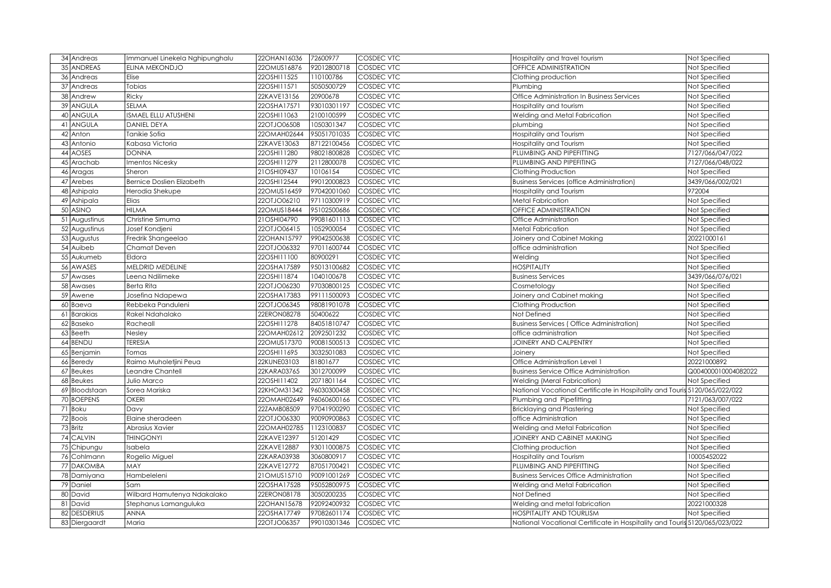| 34 Andreas    | Immanuel Linekela Nghipunghalu   | 22OHAN16036 | 72600977    | <b>COSDEC VTC</b> | Hospitality and travel tourism                                             | Not Specified       |
|---------------|----------------------------------|-------------|-------------|-------------------|----------------------------------------------------------------------------|---------------------|
| 35 ANDREAS    | ELINA MEKONDJO                   | 22OMUS16876 | 92012800718 | COSDEC VTC        | OFFICE ADMINISTRATION                                                      | Not Specified       |
| 36 Andreas    | Elise                            | 22OSHI11525 | 110100786   | COSDEC VTC        | Clothing production                                                        | Not Specified       |
| 37 Andreas    | Tobias                           | 22OSHI11571 | 5050500729  | <b>COSDEC VTC</b> | Plumbing                                                                   | Not Specified       |
| 38 Andrew     | Ricky                            | 22KAVE13156 | 20900678    | COSDEC VTC        | Office Administration In Business Services                                 | Not Specified       |
| 39 ANGULA     | SELMA                            | 22OSHA17571 | 93010301197 | COSDEC VTC        | Hospitality and tourism                                                    | Not Specified       |
| 40 ANGULA     | ISMAEL ELLU ATUSHENI             | 22OSHI11063 | 2100100599  | COSDEC VTC        | Welding and Metal Fabrication                                              | Not Specified       |
| 41 ANGULA     | <b>DANIEL DEYA</b>               | 22OTJO06508 | 1050301347  | <b>COSDEC VTC</b> | plumbing                                                                   | Not Specified       |
| 42 Anton      | Tanikie Sofia                    | 22OMAH02644 | 95051701035 | <b>COSDEC VTC</b> | Hospitality and Tourism                                                    | Not Specified       |
| 43 Antonio    | Kabasa Victoria                  | 22KAVE13063 | 87122100456 | <b>COSDEC VTC</b> | Hospitality and Tourism                                                    | Not Specified       |
| 44 AOSES      | <b>DONNA</b>                     | 22OSHI11280 | 98021800828 | <b>COSDEC VTC</b> | PLUMBING AND PIPEFITTING                                                   | 7127/066/047/022    |
| 45 Arachab    | Imentos Nicesky                  | 22OSHI11279 | 2112800078  | COSDEC VTC        | PLUMBING AND PIPEFITING                                                    | 7127/066/048/022    |
| 46 Aragas     | Sheron                           | 21OSHI09437 | 10106154    | COSDEC VTC        | Clothing Production                                                        | Not Specified       |
| 47 Arebes     | <b>Bernice Doslien Elizabeth</b> | 22OSHI12544 | 99012000823 | <b>COSDEC VTC</b> | <b>Business Services (office Administration)</b>                           | 3439/066/002/021    |
| 48 Ashipala   | Herodia Shekupe                  | 22OMUS16459 | 97042001060 | <b>COSDEC VTC</b> | Hospitality and Tourism                                                    | 972004              |
| 49 Ashipala   | Elias                            | 22OTJO06210 | 97110300919 | COSDEC VTC        | <b>Metal Fabrication</b>                                                   | Not Specified       |
| 50 ASINO      | <b>HILMA</b>                     | 22OMUS18444 | 95102500686 | <b>COSDEC VTC</b> | OFFICE ADMINISTRATION                                                      | Not Specified       |
| 51 Augustinus | Christine Simuma                 | 21OSHI04790 | 99081601113 | <b>COSDEC VTC</b> | Office Administration                                                      | Not Specified       |
| 52 Augustinus | Josef Kondjeni                   | 22OTJO06415 | 1052900054  | COSDEC VTC        | Metal Fabrication                                                          | Not Specified       |
| 53 Augustus   | Fredrik Shangeelao               | 22OHAN15797 | 99042500638 | COSDEC VTC        | Joinery and Cabinet Making                                                 | 20221000161         |
| 54 Auibeb     | Chamat Deven                     | 22OTJO06332 | 97011600744 | COSDEC VTC        | office administration                                                      | Not Specified       |
| 55 Aukumeb    | Eldora                           | 22OSHI11100 | 80900291    | COSDEC VTC        | Welding                                                                    | Not Specified       |
| 56 AWASES     | MELDRID MEDELINE                 | 22OSHA17589 | 95013100682 | COSDEC VTC        | <b>HOSPITALITY</b>                                                         | Not Specified       |
| 57 Awases     | Leena Ndilimeke                  | 22OSHI11874 | 1040100678  | COSDEC VTC        | <b>Business Services</b>                                                   | 3439/066/076/021    |
| 58 Awases     | Berta Rita                       | 22OTJO06230 | 97030800125 | COSDEC VTC        | Cosmetology                                                                | Not Specified       |
| 59 Awene      | Josefina Ndapewa                 | 22OSHA17383 | 99111500093 | COSDEC VTC        | loinery and Cabinet making                                                 | Not Specified       |
| 60 Baeva      | Rebbeka Panduleni                | 22OTJO06345 | 98081901078 | COSDEC VTC        | Clothing Production                                                        | Not Specified       |
| 61 Barakias   | Rakel Ndahalako                  | 22ERON08278 | 50400622    | COSDEC VTC        | Not Defined                                                                | Not Specified       |
| 62 Baseko     | Racheall                         | 22OSHI11278 | 84051810747 | COSDEC VTC        | <b>Business Services (Office Administration)</b>                           | Not Specified       |
| 63 Beeth      | Nesley                           | 22OMAH02612 | 2092501232  | COSDEC VTC        | office administration                                                      | Not Specified       |
| 64 BENDU      | <b>TERESIA</b>                   | 22OMUS17370 | 90081500513 | COSDEC VTC        | JOINERY AND CALPENTRY                                                      | Not Specified       |
| 65 Benjamin   | Tomas                            | 22OSHI11695 | 3032501083  | COSDEC VTC        | Joinery                                                                    | Not Specified       |
| 66 Beredy     | Raimo Muholetjini Peua           | 22KUNE03103 | 81801677    | COSDEC VTC        | Office Administration Level 1                                              | 20221000892         |
| 67 Beukes     | Leandre Chantell                 | 22KARA03765 | 3012700099  | COSDEC VTC        | <b>Business Service Office Administration</b>                              | Q004000010004082022 |
| 68 Beukes     | Julio Marco                      | 22OSHI11402 | 2071801164  | COSDEC VTC        | Welding (Meral Fabrication)                                                | Not Specified       |
| 69 Bloodstaan | Sorea Mariska                    | 22KHOM31342 | 96030300458 | COSDEC VTC        | National Vocational Certificate in Hospitality and Touris 5120/065/022/022 |                     |
| 70 BOEPENS    | <b>OKERI</b>                     | 22OMAH02649 | 96060600166 | COSDEC VTC        | Plumbing and Pipefitting                                                   | 7121/063/007/022    |
| 71 Boku       | Davy                             | 22ZAMB08509 | 97041900290 | COSDEC VTC        | Bricklaying and Plastering                                                 | Not Specified       |
| 72 Boois      | Elaine sheradeen                 | 22OTJO06330 | 90090900863 | COSDEC VTC        | office Administration                                                      | Not Specified       |
| 73 Britz      | Abrasius Xavier                  | 22OMAH02785 | 1123100837  | COSDEC VTC        | Welding and Metal Fabrication                                              | Not Specified       |
| 74 CALVIN     | <b>THINGONYI</b>                 | 22KAVE12397 | 51201429    | COSDEC VTC        | JOINERY AND CABINET MAKING                                                 | Not Specified       |
| 75 Chipungu   | Isabela                          | 22KAVE12887 | 93011000875 | COSDEC VTC        | Clothing production                                                        | Not Specified       |
| 76 Cohlmann   | Rogelio Miguel                   | 22KARA03938 | 3060800917  | COSDEC VTC        | Hospitality and Tourism                                                    | 10005452022         |
| 77 DAKOMBA    | MAY                              | 22KAVE12772 | 87051700421 | COSDEC VTC        | PLUMBING AND PIPEFITTING                                                   | Not Specified       |
| 78 Damiyana   | Hambeleleni                      | 21OMUS15710 | 90091001269 | COSDEC VTC        | <b>Business Services Office Administration</b>                             | Not Specified       |
| 79 Daniel     | Sam                              | 22OSHA17528 | 95052800975 | COSDEC VTC        | Welding and Metal Fabrication                                              | Not Specified       |
| 80 David      | Wilbard Hamutenya Ndakalako      | 22ERON08178 | 3050200235  | COSDEC VTC        | Not Defined                                                                | Not Specified       |
| 81 David      | Stephanus Lamanguluka            | 22OHAN15678 | 92092400932 | COSDEC VTC        | Welding and metal fabrication                                              | 20221000328         |
| 82 DESDERIUS  | <b>ANNA</b>                      | 22OSHA17749 | 97082601174 | COSDEC VTC        | <b>HOSPITALITY AND TOURLISM</b>                                            | Not Specified       |
| 83 Diergaardt | Maria                            | 22OTJO06357 | 99010301346 | <b>COSDEC VTC</b> | National Vocational Certificate in Hospitality and Touris 5120/065/023/022 |                     |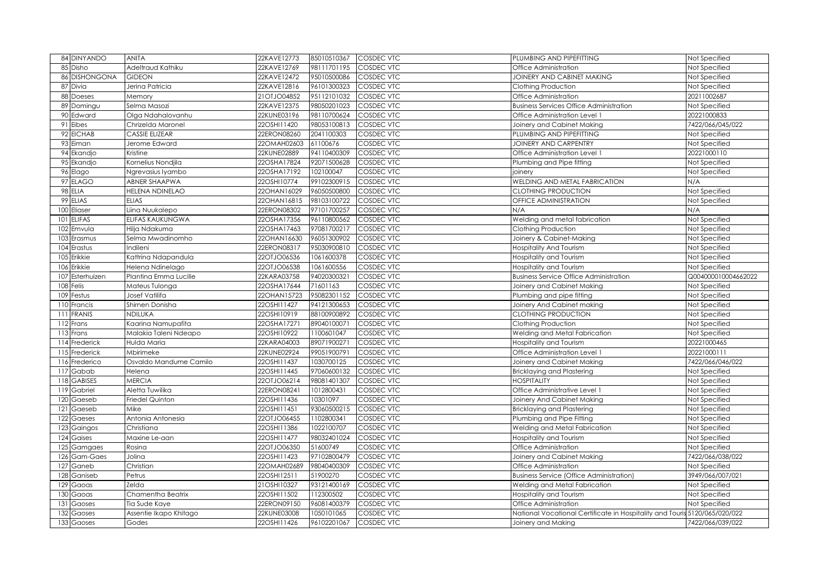|                 | 84 DINYANDO       | <b>ANITA</b>           | 22KAVE12773 | 85010510367 | <b>COSDEC VTC</b> | PLUMBING AND PIPEFITTING                                                   | Not Specified       |
|-----------------|-------------------|------------------------|-------------|-------------|-------------------|----------------------------------------------------------------------------|---------------------|
|                 | 85 Disho          | Adeltraud Kathiku      | 22KAVE12769 | 98111701195 | COSDEC VTC        | Office Administration                                                      | Not Specified       |
| 86              | <b>DISHONGONA</b> | <b>GIDEON</b>          | 22KAVE12472 | 95010500086 | COSDEC VTC        | JOINERY AND CABINET MAKING                                                 | Not Specified       |
| 87              | Divia             | Jerina Patricia        | 22KAVE12816 | 96101300323 | COSDEC VTC        | Clothing Production                                                        | Not Specified       |
| 88              | <b>Doeses</b>     | Memory                 | 21OTJO04852 | 95112101032 | COSDEC VTC        | Office Administration                                                      | 20211002687         |
|                 | 89 Domingu        | Selma Masozi           | 22KAVE12375 | 98050201023 | COSDEC VTC        | <b>Business Services Office Administration</b>                             | Not Specified       |
|                 | 90 Edward         | Olga Ndahalovanhu      | 22KUNE03196 | 98110700624 | COSDEC VTC        | Office Administration Level 1                                              | 20221000833         |
|                 | 91 Eibes          | Chrizelda Maronel      | 22OSHI11420 | 98053100813 | COSDEC VTC        | Joinery and Cabinet Making                                                 | 7422/066/045/022    |
|                 | 92 EICHAB         | <b>CASSIE ELIZEAR</b>  | 22ERON08260 | 2041100303  | COSDEC VTC        | PLUMBING AND PIPEFITTING                                                   | Not Specified       |
|                 | 93 Eiman          | Jerome Edward          | 22OMAH02603 | 61100676    | COSDEC VTC        | JOINERY AND CARPENTRY                                                      | Not Specified       |
|                 | 94 Ekandjo        | Kristine               | 22KUNE02889 | 94110400309 | COSDEC VTC        | Office Administration Level 1                                              | 20221000110         |
|                 | 95 Ekandjo        | Kornelius Nondjila     | 22OSHA17824 | 92071500628 | <b>COSDEC VTC</b> | Plumbing and Pipe fitting                                                  | Not Specified       |
|                 | 96 Elago          | Ngrevasius Iyambo      | 22OSHA17192 | 102100047   | COSDEC VTC        | joinery                                                                    | Not Specified       |
|                 | 97 ELAGO          | ABNER SHAAPWA          | 22OSHI10774 | 99102300915 | <b>COSDEC VTC</b> | WELDING AND METAL FABRICATION                                              | N/A                 |
|                 | 98 ELIA           | <b>HELENA NDINELAO</b> | 22OHAN16029 | 96050500800 | <b>COSDEC VTC</b> | <b>CLOTHING PRODUCTION</b>                                                 | Not Specified       |
|                 | 99 ELIAS          | <b>ELIAS</b>           | 22OHAN16815 | 98103100722 | COSDEC VTC        | OFFICE ADMINISTRATION                                                      | Not Specified       |
| 100             | Eliaser           | Liina Nuukalepo        | 22ERON08302 | 97101700257 | <b>COSDEC VTC</b> | N/A                                                                        | N/A                 |
| 101             | <b>ELIFAS</b>     | ELIFAS KAUKUNGWA       | 22OSHA17356 | 96110800562 | <b>COSDEC VTC</b> | Welding and metal fabrication                                              | Not Specified       |
| 102             | Emvula            | Hilja Ndakuma          | 22OSHA17463 | 97081700217 | <b>COSDEC VTC</b> | Clothing Production                                                        | Not Specified       |
| 103             | Erasmus           | Selma Mwadinomho       | 22OHAN16630 | 96051300902 | COSDEC VTC        | Joinery & Cabinet-Making                                                   | Not Specified       |
| 104             | Erastus           | Indileni               | 22ERON08317 | 95030900810 | COSDEC VTC        | <b>Hospitality And Tourism</b>                                             | Not Specified       |
| 105             | Erikkie           | Kattrina Ndapandula    | 22OTJO06536 | 1061600378  | COSDEC VTC        | Hospitality and Tourism                                                    | Not Specified       |
| 106             | Erikkie           | Helena Ndinelago       | 22OTJO06538 | 1061600556  | COSDEC VTC        | Hospitality and Tourism                                                    | Not Specified       |
| 107             | Esterhuizen       | Plantina Emma Lucille  | 22KARA03758 | 94020300321 | COSDEC VTC        | <b>Business Service Office Administration</b>                              | Q004000010004662022 |
|                 | 108 Felis         | Mateus Tulonga         | 22OSHA17644 | 71601163    | COSDEC VTC        | Joinery and Cabinet Making                                                 | Not Specified       |
|                 | 109 Festus        | Josef Vatilifa         | 22OHAN15723 | 95082301152 | COSDEC VTC        | Plumbing and pipe fitting                                                  | Not Specified       |
| 110             | Francis           | Shirnen Donisha        | 22OSHI11427 | 94121300653 | COSDEC VTC        | Joinery And Cabinet making                                                 | Not Specified       |
| 111             | <b>FRANIS</b>     | NDILUKA                | 22OSHI10919 | 88100900892 | COSDEC VTC        | CLOTHING PRODUCTION                                                        | Not Specified       |
| 112             | Frans             | Kaarina Namupafita     | 22OSHA17271 | 89040100071 | COSDEC VTC        | Clothing Production                                                        | Not Specified       |
|                 | 113 Frans         | Malakia Taleni Ndeapo  | 22OSHI10922 | 1100601047  | COSDEC VTC        | Welding and Metal Fabrication                                              | Not Specified       |
|                 | 114 Frederick     | Hulda Maria            | 22KARA04003 | 89071900271 | COSDEC VTC        | Hospitality and Tourism                                                    | 20221000465         |
|                 | 115 Frederick     | Mbirimeke              | 22KUNE02924 | 99051900791 | COSDEC VTC        | Office Administration Level 1                                              | 20221000111         |
|                 | 116 Frederico     | Osvaldo Mandume Camilo | 22OSHI11437 | 1030700125  | COSDEC VTC        | Joinery and Cabinet Making                                                 | 7422/066/046/022    |
| 117             | Gabab             | Helena                 | 22OSHI11445 | 97060600132 | COSDEC VTC        | Bricklaying and Plastering                                                 | Not Specified       |
|                 | 118 GABISES       | <b>MERCIA</b>          | 22OTJO06214 | 98081401307 | COSDEC VTC        | <b>HOSPITALITY</b>                                                         | Not Specified       |
| 119             | Gabriel           | Aletta Tuwilika        | 22ERON08241 | 1012800431  | COSDEC VTC        | Office Administrative Level 1                                              | Not Specified       |
| 120             | Gaeseb            | Friedel Quinton        | 22OSHI11436 | 10301097    | COSDEC VTC        | Joinery And Cabinet Making                                                 | Not Specified       |
| 121             | Gaeseb            | Mike                   | 22OSHI11451 | 93060500215 | COSDEC VTC        | Bricklaying and Plastering                                                 | Not Specified       |
| 122             | Gaeses            | Antonia Antonesia      | 22OTJO06455 | 1102800341  | COSDEC VTC        | Plumbing and Pipe Fitting                                                  | Not Specified       |
|                 | 123 Gaingos       | Christiana             | 22OSHI11386 | 1022100707  | COSDEC VTC        | Welding and Metal Fabrication                                              | Not Specified       |
|                 | 124 Gaises        | Maxine Le-aan          | 22OSHI11477 | 98032401024 | COSDEC VTC        | Hospitality and Tourism                                                    | Not Specified       |
|                 | 125 Gamgaes       | Rosina                 | 22OTJO06350 | 51600749    | COSDEC VTC        | Office Administration                                                      | Not Specified       |
|                 | 126 Gam-Gaes      | Jolina                 | 22OSHI11423 | 97102800479 | COSDEC VTC        | Joinery and Cabinet Making                                                 | 7422/066/038/022    |
| 127             | Ganeb             | Christian              | 22OMAH02689 | 98040400309 | COSDEC VTC        | Office Administration                                                      | Not Specified       |
| 128             | Ganiseb           | Petrus                 | 22OSHI12511 | 51900270    | COSDEC VTC        | <b>Business Service (Office Administration)</b>                            | 3949/066/007/021    |
| 129             | Gaoas             | Zelda                  | 21OSHI10327 | 93121400169 | COSDEC VTC        | Welding and Metal Fabrication                                              | Not Specified       |
| 130             | Gaoas             | Chamentha Beatrix      | 22OSHI11502 | 112300502   | COSDEC VTC        | Hospitality and Tourism                                                    | Not Specified       |
| 13 <sup>7</sup> | Gaoses            | Tia Sude Kaye          | 22ERON09150 | 96081400379 | COSDEC VTC        | Office Administration                                                      | Not Specified       |
| 132             | Gaoses            | Assentie Ikapo Khitago | 22KUNE03008 | 1050101065  | COSDEC VTC        | National Vocational Certificate in Hospitality and Touris 5120/065/020/022 |                     |
| 133             | Gaoses            | Godes                  | 22OSHI11426 | 96102201067 | COSDEC VTC        | Joinery and Making                                                         | 7422/066/039/022    |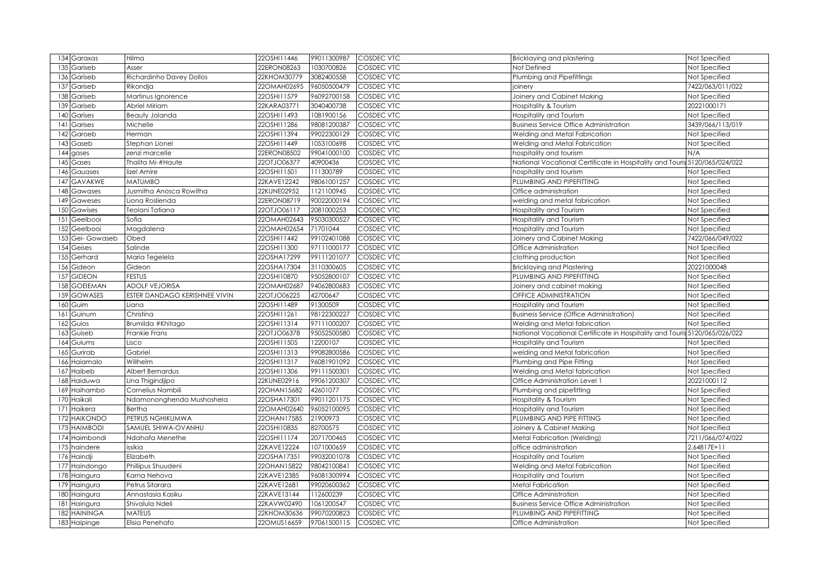|     | 134 Garaxas     | Hilma                         | 22OSHI11446 | 99011300987 | <b>COSDEC VTC</b> | Bricklaying and plastering                                                 | Not Specified    |
|-----|-----------------|-------------------------------|-------------|-------------|-------------------|----------------------------------------------------------------------------|------------------|
| 135 | Gariseb         | Asser                         | 22ERON08263 | 1030700826  | COSDEC VTC        | Not Defined                                                                | Not Specified    |
| 136 | Gariseb         | Richardinho Davey Dollos      | 22KHOM30779 | 3082400558  | COSDEC VTC        | Plumbing and Pipefittings                                                  | Not Specified    |
| 137 | Gariseb         | Rikondja                      | 22OMAH02695 | 96050500479 | COSDEC VTC        | joinery                                                                    | 7422/063/011/022 |
| 138 | Gariseb         | Martinus Ignorence            | 22OSHI11579 | 96092700158 | COSDEC VTC        | Joinery and Cabinet Making                                                 | Not Specified    |
| 139 | Gariseb         | Abriel Miriam                 | 22KARA03771 | 3040400738  | COSDEC VTC        | Hospitality & Tourism                                                      | 20221000171      |
| 140 | Garises         | Beauty Jolanda                | 22OSHI11493 | 1081900156  | COSDEC VTC        | Hospitality and Tourism                                                    | Not Specified    |
| 14  | Garises         | Michelle                      | 22OSHI11286 | 98081200387 | COSDEC VTC        | <b>Business Service Office Administration</b>                              | 3439/066/113/019 |
| 142 | Garoeb          | Herman                        | 22OSHI11394 | 99022300129 | COSDEC VTC        | Welding and Metal Fabrication                                              | Not Specified    |
| 143 | Gaseb           | Stephan Lionel                | 22OSHI11449 | 1053100698  | COSDEC VTC        | Welding and Metal Fabrication                                              | Not Specified    |
| 14  | gases           | zenzi marcelle                | 22ERON08502 | 99041000100 | COSDEC VTC        | hospitality and tourism                                                    | N/A              |
| 145 | Gases           | Thalita Mi-#Haute             | 22OTJO06377 | 40900436    | COSDEC VTC        | National Vocational Certificate in Hospitality and Touris 5120/065/024/022 |                  |
| 146 | Gauases         | lizel Amire                   | 22OSHI11501 | 111300789   | COSDEC VTC        | hospitality and tourism                                                    | Not Specified    |
| 147 | GAVAKWE         | <b>MATUMBO</b>                | 22KAVE12242 | 98061001257 | COSDEC VTC        | PLUMBING AND PIPEFITTING                                                   | Not Specified    |
| 148 | Gawases         | Jusmitha Anosca Rowitha       | 22KUNE02952 | 1121100945  | <b>COSDEC VTC</b> | Office administration                                                      | Not Specified    |
| 149 | Gaweses         | Liona Roslienda               | 22ERON08719 | 90022000194 | COSDEC VTC        | welding and metal fabrication                                              | Not Specified    |
| 150 | Gawises         | Teolani Tatiana               | 22OTJO06117 | 2081000253  | COSDEC VTC        | Hospitality and Tourism                                                    | Not Specified    |
| 151 | Geelbooi        | Sofia                         | 22OMAH02643 | 95030300527 | COSDEC VTC        | Hospitality and Tourism                                                    | Not Specified    |
| 152 | Geelbooi        | Magdalena                     | 22OMAH02654 | 71701044    | <b>COSDEC VTC</b> | Hospitality and Tourism                                                    | Not Specified    |
| 153 | Gei-Gowaseb     | Obed                          | 22OSHI11442 | 99102401088 | COSDEC VTC        | Joinery and Cabinet Making                                                 | 7422/066/049/022 |
| 154 | Geises          | Salinde                       | 22OSHI11300 | 97111000177 | COSDEC VTC        | Office Administration                                                      | Not Specified    |
| 155 | Gerhard         | Maria Tegelela                | 22OSHA17299 | 99111201077 | COSDEC VTC        | clothing production                                                        | Not Specified    |
| 156 | Gideon          | Gideon                        | 22OSHA17304 | 3110300605  | COSDEC VTC        | <b>Bricklaying and Plastering</b>                                          | 20221000048      |
| 157 | <b>GIDEON</b>   | <b>FESTUS</b>                 | 22OSHI10870 | 95052800107 | COSDEC VTC        | PLUMBING AND PIPEFITTING                                                   | Not Specified    |
| 158 | <b>GOEIEMAN</b> | <b>ADOLF VEJORISA</b>         | 22OMAH02687 | 94062800683 | COSDEC VTC        | Joinery and cabinet making                                                 | Not Specified    |
| 159 | <b>GOWASES</b>  | ESTER DANDAGO KERISHNEE VIVIN | 22OTJO06225 | 42700647    | COSDEC VTC        | OFFICE ADMINISTRATION                                                      | Not Specified    |
| 160 | Guim            | Liana                         | 22OSHI11489 | 91300509    | COSDEC VTC        | Hospitality and Tourism                                                    | Not Specified    |
| 161 | Guinum          | Christina                     | 22OSHI11261 | 98122300227 | COSDEC VTC        | <b>Business Service (Office Administration)</b>                            | Not Specified    |
| 162 | Guios           | Brumilda #Khitago             | 22OSHI11314 | 97111000207 | COSDEC VTC        | Welding and Metal fabrication                                              | Not Specified    |
| 163 | Guiseb          | Frankie Frans                 | 22OTJO06378 | 95052500580 | COSDEC VTC        | National Vocational Certificate in Hospitality and Touris 5120/065/026/022 |                  |
| 164 | Guiums          | Lisco                         | 22OSHI11505 | 12200107    | COSDEC VTC        | Hospitality and Tourism                                                    | Not Specified    |
| 165 | Gurirab         | Gabriel                       | 22OSHI11313 | 99082800586 | COSDEC VTC        | welding and Metal fabrication                                              | Not Specified    |
| 166 | Haiamalo        | Willhelm                      | 22OSHI11317 | 96081901092 | <b>COSDEC VTC</b> | Plumbing and Pipe Fitting                                                  | Not Specified    |
| 167 | Haibeb          | Albert Bernardus              | 22OSHI11306 | 99111500301 | COSDEC VTC        | Welding and Metal fabrication                                              | Not Specified    |
| 168 | Haiduwa         | Lina Thigindjipo              | 22KUNE02916 | 99061200307 | COSDEC VTC        | Office Administration Level 1                                              | 20221000112      |
| 169 | Haihambo        | Cornelius Nambili             | 22OHAN15682 | 42601077    | COSDEC VTC        | Plumbing and pipefitting                                                   | Not Specified    |
| 170 | Haikali         | Ndamononghenda Mushoshela     | 22OSHA17301 | 99011201175 | <b>COSDEC VTC</b> | Hospitality & Tourism                                                      | Not Specified    |
| 171 | Haikera         | Bertha                        | 22OMAH02640 | 96052100095 | COSDEC VTC        | Hospitality and Tourism                                                    | Not Specified    |
| 172 | <b>HAIKONDO</b> | PETRUS NGHIKUMWA              | 22OHAN17585 | 21900973    | COSDEC VTC        | PLUMBING AND PIPE FITTING                                                  | Not Specified    |
| 173 | <b>HAIMBODI</b> | SAMUEL SHIWA-OVANHU           | 22OSHI10835 | 82700575    | COSDEC VTC        | Joinery & Cabinet Making                                                   | Not Specified    |
|     | 174 Haimbondi   | Ndahafa Menethe               | 22OSHI11174 | 2071700465  | COSDEC VTC        | Metal Fabrication (Welding)                                                | 7211/066/074/022 |
| 175 | haindere        | issikia                       | 22KAVE12224 | 1071000659  | COSDEC VTC        | office administration                                                      | 2.64817E+11      |
| 176 | Haindji         | Elizabeth                     | 22OSHA17351 | 99032001078 | COSDEC VTC        | Hospitality and Tourism                                                    | Not Specified    |
| 177 | Haindongo       | Phillipus Shuudeni            | 22OHAN15822 | 98042100841 | COSDEC VTC        | Welding and Metal Fabrication                                              | Not Specified    |
| 178 | Haingura        | Karna Nehova                  | 22KAVE12385 | 96081300994 | COSDEC VTC        | Hospitality and Tourism                                                    | Not Specified    |
| 179 | Haingura        | Petrus Sitarara               | 22KAVE12681 | 99020600362 | COSDEC VTC        | <b>Metal Fabrication</b>                                                   | Not Specified    |
| 180 | Haingura        | Annastasia Kasiku             | 22KAVE13144 | 112600239   | COSDEC VTC        | Office Administration                                                      | Not Specified    |
| 18  | Haingura        | Shivalula Ndeli               | 22KAVW02490 | 1061200547  | COSDEC VTC        | <b>Business Service Office Administration</b>                              | Not Specified    |
| 182 | HAININGA        | MATEUS                        | 22KHOM30636 | 99070200823 | COSDEC VTC        | PLUMBING AND PIPEFITTING                                                   | Not Specified    |
|     | 183 Haipinge    | Elisia Penehafo               | 22OMUS16659 | 97061500115 | COSDEC VTC        | Office Administration                                                      | Not Specified    |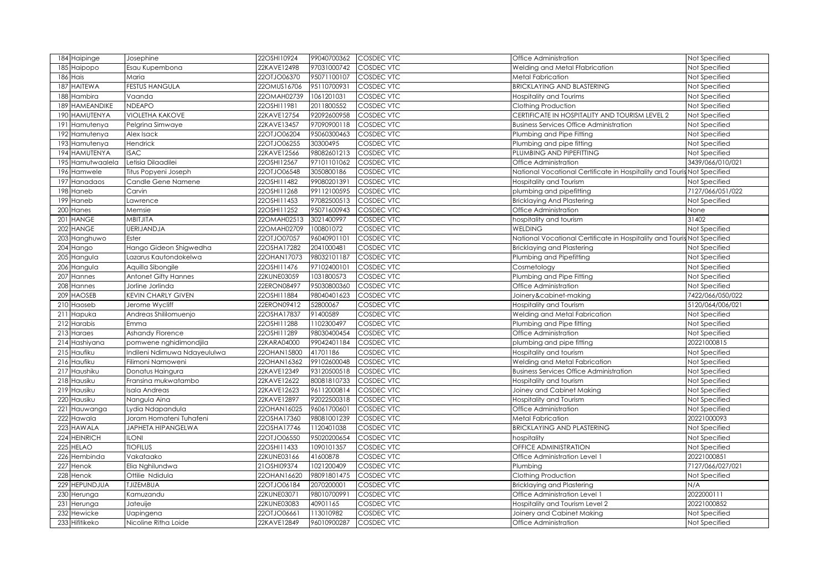|     | 184 Haipinge     | Josephine                    | 22OSHI10924 | 99040700362 | <b>COSDEC VTC</b> | Office Administration                                                   | Not Specified    |
|-----|------------------|------------------------------|-------------|-------------|-------------------|-------------------------------------------------------------------------|------------------|
| 185 | Haipopo          | Esau Kupembona               | 22KAVE12498 | 97031000742 | COSDEC VTC        | Welding and Metal Ffabrication                                          | Not Specified    |
| 186 | Hais             | Maria                        | 22OTJO06370 | 95071100107 | COSDEC VTC        | <b>Metal Fabrication</b>                                                | Not Specified    |
| 187 | <b>HAITEWA</b>   | <b>FESTUS HANGULA</b>        | 22OMUS16706 | 95110700931 | COSDEC VTC        | <b>BRICKLAYING AND BLASTERING</b>                                       | Not Specified    |
| 188 | Hambira          | Vaanda                       | 22OMAH02739 | 1061201031  | COSDEC VTC        | Hospitality and Tourims                                                 | Not Specified    |
|     | 189 HAMEANDIKE   | <b>NDEAPO</b>                | 22OSHI11981 | 2011800552  | COSDEC VTC        | Clothing Production                                                     | Not Specified    |
| 190 | <b>HAMUTENYA</b> | <b>VIOLETHA KAKOVE</b>       | 22KAVE12754 | 92092600958 | COSDEC VTC        | CERTIFICATE IN HOSPITALITY AND TOURISM LEVEL 2                          | Not Specified    |
| 191 | Hamutenya        | Pelgrina Simwaye             | 22KAVE13457 | 97090900118 | COSDEC VTC        | <b>Business Services Office Administration</b>                          | Not Specified    |
|     | 192 Hamutenya    | Alex Isack                   | 22OTJO06204 | 95060300463 | COSDEC VTC        | Plumbing and Pipe Fitting                                               | Not Specified    |
|     | 193 Hamutenya    | Hendrick                     | 22OTJO06255 | 30300495    | COSDEC VTC        | Plumbing and pipe fitting                                               | Not Specified    |
|     | 194 HAMUTENYA    | <b>ISAC</b>                  | 22KAVE12566 | 98082601213 | <b>COSDEC VTC</b> | PLUMBING AND PIPEFITTING                                                | Not Specified    |
| 195 | Hamutwaalela     | Letisia Dilaadilei           | 22OSHI12567 | 97101101062 | <b>COSDEC VTC</b> | Office Administration                                                   | 3439/066/010/021 |
|     | 196 Hamwele      | Titus Popyeni Joseph         | 22OTJO06548 | 3050800186  | <b>COSDEC VTC</b> | National Vocational Certificate in Hospitality and Touris Not Specified |                  |
| 197 | Hanadaos         | Candle Gene Namene           | 22OSHI11482 | 99080201391 | <b>COSDEC VTC</b> | Hospitality and Tourism                                                 | Not Specified    |
| 198 | Haneb            | Carvin                       | 22OSHI11268 | 99112100595 | <b>COSDEC VTC</b> | plumbing and pipefitting                                                | 7127/066/051/022 |
| 199 | Haneb            | Lawrence                     | 22OSHI11453 | 97082500513 | COSDEC VTC        | <b>Bricklaying And Plastering</b>                                       | Not Specified    |
| 20C | Hanes            | Memsie                       | 22OSHI11252 | 95071600943 | COSDEC VTC        | Office Administration                                                   | None             |
| 201 | <b>HANGE</b>     | MBITJITA                     | 22OMAH02513 | 3021400997  | COSDEC VTC        | hospitality and tourism                                                 | 31402            |
| 202 | <b>HANGE</b>     | <b>UERIJANDJA</b>            | 22OMAH02709 | 100801072   | COSDEC VTC        | <b>WELDING</b>                                                          | Not Specified    |
| 203 | Hanghuwo         | Ester                        | 22OTJO07057 | 96040901101 | COSDEC VTC        | National Vocational Certificate in Hospitality and Touris               | Not Specified    |
|     | 204 Hango        | Hango Gideon Shigwedha       | 22OSHA17282 | 2041000481  | COSDEC VTC        | Bricklaying and Plastering                                              | Not Specified    |
|     | 205 Hangula      | Lazarus Kautondokelwa        | 22OHAN17073 | 98032101187 | COSDEC VTC        | Plumbing and Pipefitting                                                | Not Specified    |
|     | 206 Hangula      | Aquilla Sibongile            | 22OSHI11476 | 97102400101 | COSDEC VTC        | Cosmetology                                                             | Not Specified    |
|     | 207 Hannes       | <b>Antonet Gifty Hannes</b>  | 22KUNE03059 | 1031800573  | COSDEC VTC        | Plumbing and Pipe Fitting                                               | Not Specified    |
|     | 208 Hannes       | Jorline Jorlinda             | 22ERON08497 | 95030800360 | COSDEC VTC        | Office Administration                                                   | Not Specified    |
|     | 209 HAOSEB       | <b>KEVIN CHARLY GIVEN</b>    | 22OSHI11884 | 98040401623 | COSDEC VTC        | Joinery&cabinet-making                                                  | 7422/066/050/022 |
|     | 210 Haoseb       | Jerome Wycliff               | 22ERON09412 | 52800067    | COSDEC VTC        | Hospitality and Tourism                                                 | 5120/064/006/021 |
|     | 211 Hapuka       | Andreas Shililomuenjo        | 22OSHA17837 | 91400589    | COSDEC VTC        | Welding and Metal Fabrication                                           | Not Specified    |
|     | 212 Harabis      | Emma                         | 22OSHI11288 | 1102300497  | COSDEC VTC        | Plumbing and Pipe fitting                                               | Not Specified    |
|     | 213 Haraes       | Ashandy Florence             | 22OSHI11289 | 98030400454 | COSDEC VTC        | Office Administration                                                   | Not Specified    |
|     | 214 Hashiyana    | pomwene nghidimondjila       | 22KARA04000 | 99042401184 | COSDEC VTC        | plumbing and pipe fitting                                               | 20221000815      |
|     | 215 Haufiku      | Indileni Ndimuwa Ndayeululwa | 22OHAN15800 | 41701186    | COSDEC VTC        | Hospitality and tourism                                                 | Not Specified    |
|     | 216 Haufiku      | Filimoni Namoweni            | 22OHAN16362 | 99102600048 | <b>COSDEC VTC</b> | Welding and Metal Fabrication                                           | Not Specified    |
| 217 | Haushiku         | Donatus Haingura             | 22KAVE12349 | 93120500518 | <b>COSDEC VTC</b> | <b>Business Services Office Administration</b>                          | Not Specified    |
|     | 218 Hausiku      | Fransina mukwatambo          | 22KAVE12622 | 80081810733 | COSDEC VTC        | Hospitality and tourism                                                 | Not Specified    |
|     | 219 Hausiku      | Isala Andreas                | 22KAVE12623 | 96112000814 | COSDEC VTC        | Joiney and Cabinet Making                                               | Not Specified    |
| 220 | Hausiku          | Nangula Aina                 | 22KAVE12897 | 92022500318 | COSDEC VTC        | Hospitality and Tourism                                                 | Not Specified    |
| 221 | Hauwanga         | Lydia Ndapandula             | 22OHAN16025 | 96061700601 | COSDEC VTC        | Office Administration                                                   | Not Specified    |
|     | $222$ Hawala     | Joram Homateni Tuhafeni      | 22OSHA17360 | 98081001239 | COSDEC VTC        | Metal Fabrication                                                       | 20221000093      |
| 223 | <b>HAWALA</b>    | JAPHETA HIPANGELWA           | 22OSHA17746 | 1120401038  | COSDEC VTC        | <b>BRICKLAYING AND PLASTERING</b>                                       | Not Specified    |
|     | 224 HEINRICH     | <b>ILONI</b>                 | 22OTJO06550 | 95020200654 | COSDEC VTC        | hospitality                                                             | Not Specified    |
| 225 | <b>HELAO</b>     | <b>TIOFILUS</b>              | 22OSHI11433 | 1090101357  | COSDEC VTC        | OFFICE ADMINISTRATION                                                   | Not Specified    |
| 226 | Hembinda         | Vakataako                    | 22KUNE03166 | 41600878    | COSDEC VTC        | Office Administration Level                                             | 20221000851      |
| 227 | Henok            | Elia Nghilundwa              | 21OSHI09374 | 1021200409  | COSDEC VTC        | Plumbing                                                                | 7127/066/027/021 |
|     | 228 Henok        | Ottilie Ndidula              | 22OHAN16620 | 98091801475 | COSDEC VTC        | Clothing Production                                                     | Not Specified    |
| 229 | <b>HEPUNDJUA</b> | <b>TJIZEMBUA</b>             | 22OTJO06184 | 2070200001  | COSDEC VTC        | Bricklaying and Plastering                                              | N/A              |
| 230 | Herunga          | Kamuzandu                    | 22KUNE03071 | 98010700991 | COSDEC VTC        | Office Administration Level                                             | 2022000111       |
| 231 | Herunga          | Jateuije                     | 22KUNE03083 | 40901165    | COSDEC VTC        | Hospitality and Tourism Level 2                                         | 20221000852      |
| 232 | Hewicke          | Uapingena                    | 22OTJO0666  | 113010982   | COSDEC VTC        | Joinery and Cabinet Making                                              | Not Specified    |
|     | 233 Hifitikeko   | Nicoline Ritha Loide         | 22KAVE12849 | 96010900287 | <b>COSDEC VTC</b> | Office Administration                                                   | Not Specified    |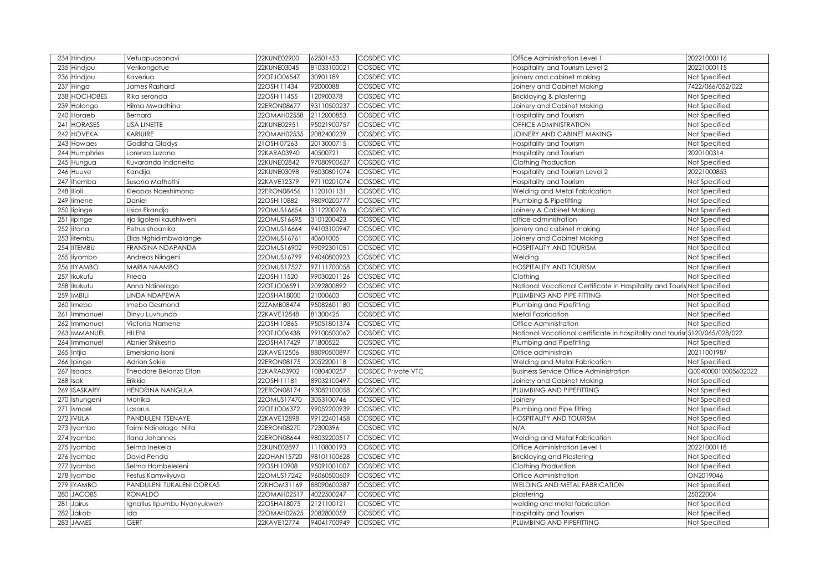| 234<br>Hindjou           | Vetuapuasanavi               | 22KUNE02900 | 62501453    | COSDEC VTC                | Office Administration Level 1                                               | 20221000116         |
|--------------------------|------------------------------|-------------|-------------|---------------------------|-----------------------------------------------------------------------------|---------------------|
| 235<br>Hindjou           | Verikongotue                 | 22KUNE03045 | 81033100021 | COSDEC VTC                | Hospitality and Tourism Level 2                                             | 20221000115         |
| 236<br>Hindjou           | Kaveriua                     | 22OTJO06547 | 30901189    | COSDEC VTC                | joinery and cabinet making                                                  | Not Specified       |
| 237<br>Hinga             | James Rashard                | 22OSHI11434 | 92000088    | COSDEC VTC                | Joinery and Cabinet Making                                                  | 7422/066/052/022    |
| HOCHOBES<br>238          | Rika seronda                 | 22OSHI11455 | 120900378   | COSDEC VTC                | Bricklaying & plastering                                                    | Not Specified       |
| 239<br>Holongo           | Hilma Mwadhina               | 22ERON08677 | 93110500237 | COSDEC VTC                | Joinery and Cabinet Making                                                  | Not Specified       |
| Horaeb<br>240            | Bernard                      | 22OMAH02558 | 2112000853  | COSDEC VTC                | Hospitality and Tourism                                                     | Not Specified       |
| HORASES<br>241           | LISA LINETTE                 | 22KUNE02951 | 95021900757 | COSDEC VTC                | OFFICE ADMINISTRATION                                                       | Not Specified       |
| HOVEKA<br>242            | KARIUIRE                     | 22OMAH02535 | 2082400239  | COSDEC VTC                | JOINERY AND CABINET MAKING                                                  | Not Specified       |
| 243<br>Howaes            | Gadisha Gladys               | 21OSHI07263 | 2013000715  | COSDEC VTC                | Hospitality and Tourism                                                     | Not Specified       |
| Humphries<br>244         | Lorenzo Luzano               | 22KARA03940 | 40500721    | COSDEC VTC                | Hospitality and Tourism                                                     | 2020100314          |
| 245<br>Hungua            | Kuvaronda Indonelta          | 22KUNE02842 | 97080900627 | COSDEC VTC                | Clothing Production                                                         | Not Specified       |
| Huuve<br>246             | Kandija                      | 22KUNE03098 | 96030801074 | COSDEC VTC                | Hospitality and Tourism Level 2                                             | 20221000853         |
| 247<br>Ihemba            | Susana Mathothi              | 22KAVE12379 | 97110201074 | <b>COSDEC VTC</b>         | Hospitality and Tourism                                                     | Not Specified       |
| Illoli<br>248            | Kleopas Ndeshimona           | 22ERON08456 | 1120101131  | <b>COSDEC VTC</b>         | Welding and Metal Fabrication                                               | Not Specified       |
| 249<br>limene            | Daniel                       | 22OSHI10882 | 98090200777 | COSDEC VTC                | Plumbing & Pipefitting                                                      | Not Specified       |
| lipinge<br>250           | Lisias Ekandjo               | 22OMUS16654 | 3112200276  | <b>COSDEC VTC</b>         | Joinery & Cabinet Making                                                    | Not Specified       |
| 251<br>iipinge           | irja ligoleni kaushiweni     | 22OMUS16695 | 3101200423  | COSDEC VTC                | office administration                                                       | Not Specified       |
| itana<br>252             | Petrus shaanika              | 22OMUS16664 | 94103100947 | COSDEC VTC                | joinery and cabinet making                                                  | Not Specified       |
| 253<br>itembu            | Elias Nghidimbwalange        | 22OMUS16761 | 40601005    | COSDEC VTC                | Joinery and Cabinet Making                                                  | Not Specified       |
| <b>ITEMBU</b><br>254     | FRANSINA NDAPANDA            | 22OMUS16902 | 99092301051 | COSDEC VTC                | <b>HOSPITALITY AND TOURISM</b>                                              | Not Specified       |
| 255<br>iyambo            | Andreas Niingeni             | 22OMUS16799 | 94040800923 | COSDEC VTC                | Welding                                                                     | Not Specified       |
| <b>IYAMBO</b><br>256     | MARIA NAAMBO                 | 22OMUS17527 | 97111700058 | COSDEC VTC                | <b>HOSPITALITY AND TOURISM</b>                                              | Not Specified       |
| kukutu<br>257            | Frieda                       | 22OSHI11520 | 99030201126 | COSDEC VTC                | Clothing                                                                    | Not Specified       |
| 258<br>kukutu            | Anna Ndinelago               | 22OTJO06591 | 2092800892  | COSDEC VTC                | National Vocational Certificate in Hospitality and Touris Not Specified     |                     |
| MBILI<br>259             | LINDA NDAPEWA                | 22OSHA18000 | 21000603    | COSDEC VTC                | PLUMBING AND PIPE FITTING                                                   | Not Specified       |
| mebo<br>260              | Imebo Desmond                | 22ZAMB08474 | 95082601180 | COSDEC VTC                | Plumbing and Pipefitting                                                    | Not Specified       |
| mmanuel<br>261           | Dinyu Luvhundo               | 22KAVE12848 | 81300425    | COSDEC VTC                | <b>Metal Fabrication</b>                                                    | Not Specified       |
| 262<br>mmanuel           | Victoria Namene              | 22OSHI10865 | 95051801374 | COSDEC VTC                | Office Administration                                                       | Not Specified       |
| 263<br><b>IMMANUEL</b>   | <b>HILENI</b>                | 22OTJO06438 | 99100500062 | COSDEC VTC                | National Vocational certificate in hospitality and tourisr 5120/065/028/022 |                     |
| 264<br>Immanuel          | Abnier Shikesho              | 22OSHA17429 | 71800522    | COSDEC VTC                | Plumbing and Pipefitting                                                    | Not Specified       |
| 265<br>Intjia            | Emersiana Isoni              | 22KAVE12506 | 88090500897 | COSDEC VTC                | Office administrain                                                         | 20211001987         |
| 266<br>Ipinge            | Adrian Sakie                 | 22ERON08175 | 2052200118  | COSDEC VTC                | Welding and Metal Fabrication                                               | Not Specified       |
| Isaacs<br>267            | Theodore Belanzo Elton       | 22KARA03902 | 1080400257  | <b>COSDEC Private VTC</b> | <b>Business Service Office Administration</b>                               | Q004000010005602022 |
| sak<br>268               | Erikkie                      | 22OSHI11181 | 89032100497 | <b>COSDEC VTC</b>         | Joinery and Cabinet Making                                                  | Not Specified       |
| SASKARY<br>269           | HENDRINA NANGULA             | 22ERON08174 | 93082100058 | COSDEC VTC                | PLUMBING AND PIPEFITTING                                                    | Not Specified       |
| 270<br>Ishungeni         | Monika                       | 22OMUS17470 | 3053100746  | COSDEC VTC                | Joinery                                                                     | Not Specified       |
| Ismael<br>271            | Lasarus                      | 22OTJO06372 | 99052200939 | COSDEC VTC                | Plumbing and Pipe fitting                                                   | Not Specified       |
| <b>VULA</b><br>272       | PANDULENI TSENAYE            | 22KAVE12898 | 99122401458 | COSDEC VTC                | <b>HOSPITALITY AND TOURISM</b>                                              | Not Specified       |
| 273<br>yambo             | Taimi Ndinelago Niita        | 22ERON08270 | 72300396    | COSDEC VTC                | N/A                                                                         | Not Specified       |
| 274<br>yambo             | Itana Johannes               | 22ERON08644 | 98032200517 | COSDEC VTC                | Welding and Metal Fabrication                                               | Not Specified       |
| 275<br>yambo             | Selma Inekela                | 22KUNE02897 | 1110800193  | COSDEC VTC                | Office Administration Level 1                                               | 20221000118         |
| 27 <sub>6</sub><br>yambo | David Penda                  | 22OHAN15720 | 98101100628 | COSDEC VTC                | <b>Bricklaying and Plastering</b>                                           | Not Specified       |
| 277<br>yambo             | Selma Hambeleleni            | 22OSHI10908 | 95091001007 | COSDEC VTC                | Clothing Production                                                         | Not Specified       |
| 278<br>yambo             | Festus Kamwiiyuva            | 22OMUS17242 | 96060500609 | COSDEC VTC                | Office Administration                                                       | ON2019046           |
| 279<br>YAMBO             | PANDULENI TUKALENI DORKAS    | 22KHOM31169 | 88090600387 | COSDEC VTC                | WELDING AND METAL FABRICATION                                               | Not Specified       |
| 280<br><b>JACOBS</b>     | <b>RONALDO</b>               | 22OMAH02517 | 4022500247  | COSDEC VTC                | plastering                                                                  | 25022004            |
| 281<br>Jairus            | Ignatius Ilpumbu Nyanyukweni | 22OSHA18075 | 2121100121  | COSDEC VTC                | welding and metal fabrication                                               | Not Specified       |
| 282<br>Jakob             | Ida                          | 22OMAH02625 | 2082800059  | COSDEC VTC                | Hospitality and Tourism                                                     | Not Specified       |
| 283<br><b>JAMES</b>      | <b>GERT</b>                  | 22KAVE12774 | 94041700949 | COSDEC VTC                | PLUMBING AND PIPEFITTING                                                    | Not Specified       |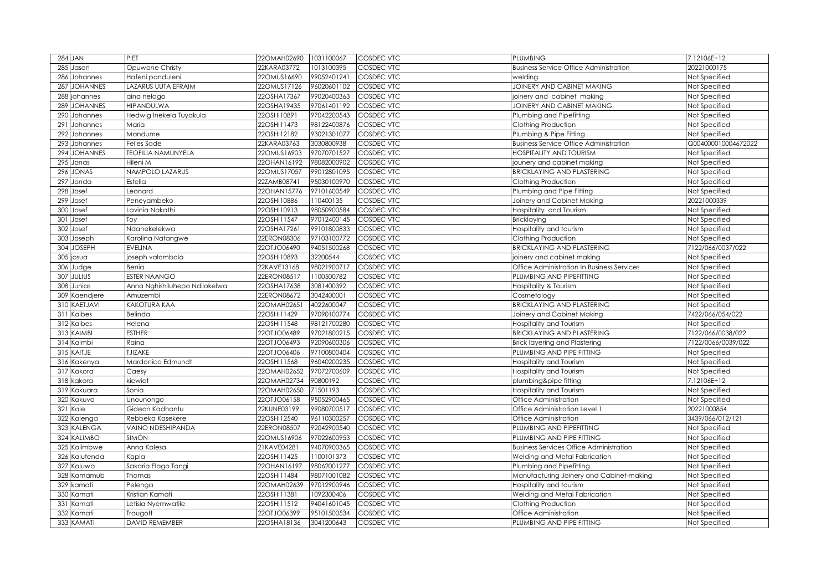|     | <b>284 JAN</b>       | PIET                              | 22OMAH02690                | 1031100067                | <b>COSDEC VTC</b>        | <b>PLUMBING</b>                                    | 7.12106E+12                    |
|-----|----------------------|-----------------------------------|----------------------------|---------------------------|--------------------------|----------------------------------------------------|--------------------------------|
| 285 | Jason                | Opuwone Christy                   | 22KARA03772                | 1013100395                | COSDEC VTC               | <b>Business Service Office Administration</b>      | 20221000175                    |
| 286 | Johannes             | Hafeni panduleni                  | 22OMUS16690                | 99052401241               | COSDEC VTC               | welding                                            | Not Specified                  |
| 287 | <b>JOHANNES</b>      | LAZARUS UUTA EFRAIM               | 22OMUS17126                | 96020601102               | COSDEC VTC               | JOINERY AND CABINET MAKING                         | Not Specified                  |
| 288 | johannes             | aina nelago                       | 22OSHA17367                | 99020400363               | COSDEC VTC               | pinery and cabinet making                          | Not Specified                  |
| 289 | <b>JOHANNES</b>      | HIPANDULWA                        | 22OSHA19435                | 97061401192               | COSDEC VTC               | JOINERY AND CABINET MAKING                         | Not Specified                  |
| 290 | Johannes             | Hedwig Inekela Tuyakula           | 22OSHI10891                | 97042200543               | COSDEC VTC               | Plumbing and Pipefitting                           | Not Specified                  |
| 291 | Johannes             | Maria                             | 22OSHI11473                | 98122400876               | COSDEC VTC               | Clothing Production                                | Not Specified                  |
|     | 292 Johannes         | Mandume                           | 22OSHI12182                | 93021301077               | COSDEC VTC               | Plumbing & Pipe Fitting                            | Not Specified                  |
|     | 293 Johannes         | <b>Felies Sade</b>                | 22KARA03763                | 3030800938                | <b>COSDEC VTC</b>        | <b>Business Service Office Administration</b>      | Q004000010004672022            |
| 294 | <b>JOHANNES</b>      | <b>TEOFILIA NAMUNYELA</b>         | 22OMUS16903                | 97070701527               | COSDEC VTC               | <b>HOSPITALITY AND TOURISM</b>                     | Not Specified                  |
| 295 | Jonas                | Hileni M                          | 22OHAN16192                | 98082000902               | <b>COSDEC VTC</b>        | jounery and cabinet making                         | Not Specified                  |
| 296 | <b>JONAS</b>         | NAMPOLO LAZARUS                   | 22OMUS17057                | 99012801095               | <b>COSDEC VTC</b>        | <b>BRICKLAYING AND PLASTERING</b>                  | Not Specified                  |
| 297 | Jonda                | Estella                           | 22ZAMB08741                | 95030100970               | <b>COSDEC VTC</b>        | Clothing Production                                | Not Specified                  |
|     | 298 Josef            | Leonard                           | 22OHAN15776                | 97101600549               | <b>COSDEC VTC</b>        | Plumbing and Pipe Fitting                          | Not Specified                  |
| 299 | Josef                | Peneyambeko                       | 22OSHI10886                | 110400135                 | <b>COSDEC VTC</b>        | Joinery and Cabinet Making                         | 20221000339                    |
| 300 | Josef                | Lavinia Nakathi                   | 22OSHI10913                | 98050900584               | <b>COSDEC VTC</b>        | Hospitality and Tourism                            | Not Specified                  |
| 301 | Josef                | Toy                               | 22OSHI11547                | 97012400145               | <b>COSDEC VTC</b>        | <b>Bricklaying</b>                                 | Not Specified                  |
| 302 | Josef                | Ndahekelekwa                      | 22OSHA17261                | 99101800833               | <b>COSDEC VTC</b>        | Hospitality and tourism                            | Not Specified                  |
| 303 | Joseph               | Karolina Natangwe                 | 22ERON08306                | 97103100772               | COSDEC VTC               | Clothing Production                                | Not Specified                  |
|     | 304 JOSEPH           | <b>EVELINA</b>                    | 22OTJO06490                | 94051500268               | COSDEC VTC               | <b>BRICKLAYING AND PLASTERING</b>                  | 7122/066/0037/022              |
| 305 | josua                | joseph valombola                  | 22OSHI10893                | 32200544                  | COSDEC VTC               | joinery and cabinet making                         | Not Specified                  |
|     | 306 Judge            | Benia                             | 22KAVE13168                | 98021900717               | COSDEC VTC               | Office Administration In Business Services         | Not Specified                  |
| 307 | <b>JULIUS</b>        | <b>ESTER NAANGO</b>               | 22ERON08517                | 1100500782                | COSDEC VTC               | PLUMBING AND PIPEFITTING                           | Not Specified                  |
|     | 308 Junias           | Anna Nghishiluhepo Ndilokelwa     | 22OSHA17638                | 3081400392                | COSDEC VTC               | Hospitality & Tourism                              | Not Specified                  |
|     | 309 Kaendjere        | Amuzembi                          | 22ERON08672                | 3042400001                | COSDEC VTC               | Cosmetology                                        | Not Specified                  |
| 310 | KAETJAVI             | KAKOTURA KAA                      | 22OMAH02651                | 4022600047                | COSDEC VTC               | <b>BRICKLAYING AND PLASTERING</b>                  | Not Specified                  |
| 311 | Kaibes               | Belinda                           | 22OSHI11429                | 97090100774               | COSDEC VTC               | Joinery and Cabinet Making                         | 7422/066/054/022               |
| 312 | Kaibes               | Helena                            | 22OSHI11548                | 98121700280               | COSDEC VTC               | Hospitality and Tourism                            | Not Specified                  |
|     | 313 KAIMBI           | <b>ESTHER</b>                     | 22OTJO06489                | 97021800215               | COSDEC VTC               | <b>BRICKLAYING AND PLASTERING</b>                  | 7122/066/0038/022              |
|     | 314 Kaimbi           | Raina                             | 22OTJO06493                | 92090600306               | COSDEC VTC               | <b>Brick layering and Plastering</b>               | 7122/0066/0039/022             |
|     | 315 KAITJE           | <b>TJIZAKE</b>                    | 22OTJO06406                | 97100800404               | COSDEC VTC               | PLUMBING AND PIPE FITTING                          | Not Specified                  |
|     | 316 Kakenya          | Mardonico Edmundt                 | 22OSHI11568                | 96040200235               | <b>COSDEC VTC</b>        | Hospitality and Tourism                            | Not Specified                  |
| 317 | Kakora               | Caesy                             |                            |                           |                          |                                                    |                                |
|     |                      |                                   | 22OMAH02652                | 97072700609               | COSDEC VTC               | Hospitality and Tourism                            | Not Specified                  |
|     | 318 kakora           | kiewiet                           | 22OMAH02734                | 90800192                  | COSDEC VTC               | plumbing&pipe fitting                              | 7.12106E+12                    |
|     | 319 Kakuara          | Sonia                             | 22OMAH02650                | 71501193                  | COSDEC VTC               | Hospitality and Tourism                            | Not Specified                  |
| 320 | Kakuva               | Unounongo                         | 22OTJO06158                | 95052900465               | COSDEC VTC               | Office Administration                              | Not Specified                  |
| 321 | Kale                 | Gideon Kadhantu                   | 22KUNE03199                | 99080700517               | COSDEC VTC               | Office Administration Level 1                      | 20221000854                    |
|     | 322 Kalenga          | Rebbeka Kasekere                  | 22OSHI12540                | 96110300257               | COSDEC VTC               | Office Administration                              | 3439/066/012/121               |
| 323 | <b>KALENGA</b>       | VAINO NDESHIPANDA                 | 22ERON08507                | 92042900540               | COSDEC VTC               | PLUMBING AND PIPEFITTING                           | Not Specified                  |
|     | 324 KALIMBO          | <b>SIMON</b>                      | 22OMUS16906                | 97022600953               | COSDEC VTC               | PLUMBING AND PIPE FITTING                          | Not Specified                  |
| 325 | Kalimbwe             | Anna Kalesa                       | 21KAVE04281                | 94070900365               | COSDEC VTC               | <b>Business Services Office Administration</b>     | Not Specified                  |
| 326 | Kalutenda            | Kapia                             | 22OSHI11425                | 1100101373                | COSDEC VTC               | Welding and Metal Fabrication                      | Not Specified                  |
| 327 | Kaluwa               | Sakaria Elago Tangi               | 22OHAN16197                | 98062001277               | COSDEC VTC               | Plumbing and Pipefitting                           | Not Specified                  |
| 328 | Kamamub              | Thomas                            | 22OSHI11484                | 98071001082               | COSDEC VTC               | Manufacturing Joinery and Cabinet-making           | Not Specified                  |
| 329 | kamati               | Pelenga                           | 22OMAH02639                | 97012900946               | COSDEC VTC               | Hospitality and tourism                            | Not Specified                  |
| 330 | Kamati               | Kristian Kamati                   | 22OSHI11381                | 1092300406                | COSDEC VTC               | Welding and Metal Fabrication                      | Not Specified                  |
| 331 | Kamati               | Letisia Nyemwatile                | 22OSHI11512                | 94041601045               | COSDEC VTC               | Clothing Production                                | Not Specified                  |
| 332 | Kamati<br>333 KAMATI | Traugott<br><b>DAVID REMEMBER</b> | 22OTJO06399<br>22OSHA18136 | 95101500534<br>3041200643 | COSDEC VTC<br>COSDEC VTC | Office Administration<br>PLUMBING AND PIPE FITTING | Not Specified<br>Not Specified |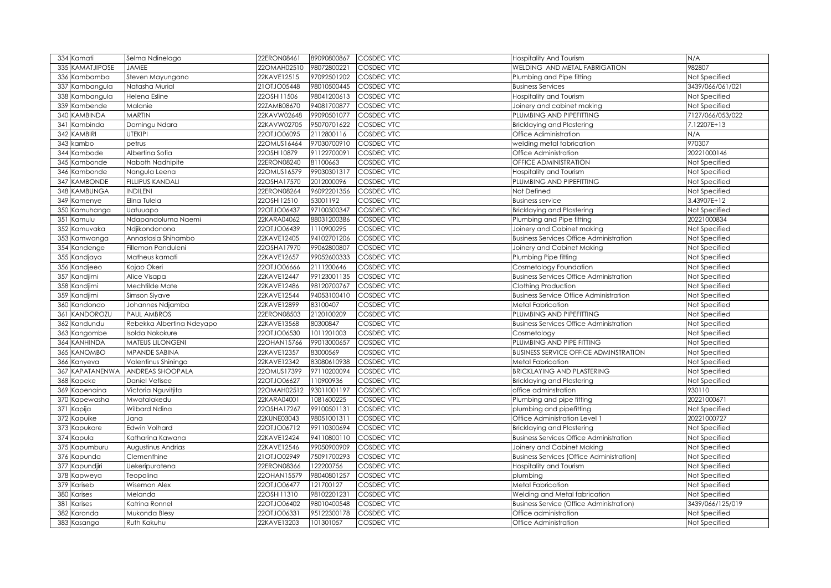| 334 Kamati                | Selma Ndinelago           | 22ERON08461 | 89090800867 | <b>COSDEC VTC</b> | <b>Hospitality And Tourism</b>                   | N/A              |
|---------------------------|---------------------------|-------------|-------------|-------------------|--------------------------------------------------|------------------|
| <b>KAMATJIPOSE</b><br>335 | <b>JAMEE</b>              | 22OMAH02510 | 98072800221 | COSDEC VTC        | WELDING AND METAL FABRIGATION                    | 982807           |
| 336<br>Kambamba           | Steven Mayungano          | 22KAVE12515 | 97092501202 | COSDEC VTC        | Plumbing and Pipe fitting                        | Not Specified    |
| 337<br>Kambangula         | Natasha Murial            | 21OTJO05448 | 98010500445 | COSDEC VTC        | <b>Business Services</b>                         | 3439/066/061/021 |
| 338<br>Kambangula         | Helena Esline             | 22OSHI11506 | 98041200613 | COSDEC VTC        | Hospitality and Tourism                          | Not Specified    |
| 339 Kambende              | Malanie                   | 22ZAMB08670 | 94081700877 | COSDEC VTC        | Joinery and cabinet making                       | Not Specified    |
| <b>KAMBINDA</b><br>340    | <b>MARTIN</b>             | 22KAVW02648 | 99090501077 | COSDEC VTC        | PLUMBING AND PIPEFITTING                         | 7127/066/053/022 |
| Kambinda<br>341           | Domingu Ndara             | 22KAVW02705 | 95070701622 | COSDEC VTC        | <b>Bricklaying and Plastering</b>                | 7.12207E+13      |
| <b>KAMBIRI</b><br>342     | <b>UTEKIPI</b>            | 22OTJO06095 | 2112800116  | COSDEC VTC        | Office Adiministration                           | N/A              |
| 343 kambo                 | petrus                    | 22OMUS16464 | 97030700910 | <b>COSDEC VTC</b> | welding metal fabrication                        | 970307           |
| 344 Kambode               | Albertina Sofia           | 22OSHI10879 | 91122700091 | COSDEC VTC        | Office Administration                            | 20221000146      |
| 345<br>Kambonde           | Naboth Nadhipite          | 22ERON08240 | 81100663    | COSDEC VTC        | <b>OFFICE ADMINISTRATION</b>                     | Not Specified    |
| 346 Kambonde              | Nangula Leena             | 22OMUS16579 | 99030301317 | <b>COSDEC VTC</b> | Hospitality and Tourism                          | Not Specified    |
| <b>KAMBONDE</b><br>347    | <b>FILLIPUS KANDALI</b>   | 22OSHA17570 | 2012000096  | <b>COSDEC VTC</b> | PLUMBING AND PIPEFITTING                         | Not Specified    |
| 348 KAMBUNGA              | <b>INDILENI</b>           | 22ERON08264 | 96092201356 | <b>COSDEC VTC</b> | Not Defined                                      | Not Specified    |
| 349 Kamenye               | Elina Tulela              | 22OSHI12510 | 53001192    | COSDEC VTC        | <b>Business service</b>                          | 3.43907E+12      |
| 350<br>Kamuhanga          | Uatuuapo                  | 22OTJO06437 | 97100300347 | COSDEC VTC        | Bricklaying and Plastering                       | Not Specified    |
| 351<br>Kamulu             | Ndapandoluma Naemi        | 22KARA04062 | 88031200386 | COSDEC VTC        | Plumbing and Pipe fitting                        | 20221000834      |
| 352<br>Kamuvaka           | Ndjikondonona             | 22OTJO06439 | 1110900295  | COSDEC VTC        | Joinery and Cabinet making                       | Not Specified    |
| 353 Kamwanga              | Annastasia Shihambo       | 22KAVE12405 | 94102701206 | COSDEC VTC        | <b>Business Services Office Administration</b>   | Not Specified    |
| 354 Kandenge              | Fillemon Panduleni        | 22OSHA17970 | 99062800807 | COSDEC VTC        | Joinery and Cabinet Making                       | Not Specified    |
| 355 Kandjaya              | Matheus kamati            | 22KAVE12657 | 99052600333 | COSDEC VTC        | Plumbing Pipe fitting                            | Not Specified    |
| 356 Kandjeeo              | Kojao Okeri               | 22OTJO06666 | 2111200646  | COSDEC VTC        | Cosmetology Foundation                           | Not Specified    |
| 357 Kandjimi              | Alice Visapa              | 22KAVE12447 | 99123001135 | COSDEC VTC        | <b>Business Services Office Administration</b>   | Not Specified    |
| 358 Kandjimi              | Mechtilde Mate            | 22KAVE12486 | 98120700767 | COSDEC VTC        | Clothing Production                              | Not Specified    |
| 359 Kandjimi              | Simson Siyave             | 22KAVE12544 | 94053100410 | COSDEC VTC        | <b>Business Service Office Administration</b>    | Not Specified    |
| Kandondo<br>360           | Johannes Ndjamba          | 22KAVE12899 | 83100407    | COSDEC VTC        | Metal Fabrication                                | Not Specified    |
| KANDOROZU<br>361          | <b>PAUL AMBROS</b>        | 22ERON08503 | 2120100209  | COSDEC VTC        | PLUMBING AND PIPEFITTING                         | Not Specified    |
| 362 Kandundu              | Rebekka Albertina Ndeyapo | 22KAVE13568 | 80300847    | COSDEC VTC        | <b>Business Services Office Administration</b>   | Not Specified    |
| 363 Kangombe              | Isolda Nokokure           | 22OTJO06530 | 1011201003  | COSDEC VTC        | Cosmetology                                      | Not Specified    |
| 364 KANHINDA              | <b>MATEUS LILONGENI</b>   | 22OHAN15766 | 99013000657 | COSDEC VTC        | PLUMBING AND PIPE FITTING                        | Not Specified    |
| 365 KANOMBO               | MPANDE SABINA             | 22KAVE12357 | 83000569    | COSDEC VTC        | <b>BUSINESS SERVICE OFFICE ADMINSTRATION</b>     | Not Specified    |
| 366 Kanyeva               | Valentinus Shininga       | 22KAVE12342 | 83080610938 | <b>COSDEC VTC</b> | Metal Fabrication                                | Not Specified    |
| KAPATANENWA<br>367        | <b>ANDREAS SHOOPALA</b>   | 22OMUS17399 | 97110200094 | COSDEC VTC        | <b>BRICKLAYING AND PLASTERING</b>                | Not Specified    |
| 368 Kapeke                | <b>Daniel Vetisee</b>     | 22OTJO06627 | 110900936   | COSDEC VTC        | Bricklaying and Plastering                       | Not Specified    |
| 369 Kapenaina             | Victoria Nguvitjita       | 22OMAH02512 | 93011001197 | COSDEC VTC        | office adminstration                             | 930110           |
| 370<br>Kapewasha          | Mwatalakedu               | 22KARA04001 | 1081600225  | COSDEC VTC        | Plumbing and pipe fitting                        | 20221000671      |
| Kapija<br>371             | Wilbard Ndina             | 22OSHA17267 | 99100501131 | COSDEC VTC        | plumbing and pipefitting                         | Not Specified    |
| 372<br>Kapuike            | Jana                      | 22KUNE03043 | 98051001311 | COSDEC VTC        | Office Administration Level 1                    | 20221000727      |
| 373<br>Kapukare           | <b>Edwin Volhard</b>      | 22OTJO06712 | 99110300694 | COSDEC VTC        | Bricklaying and Plastering                       | Not Specified    |
| 374 Kapula                | Katharina Kawana          | 22KAVE12424 | 94110800110 | COSDEC VTC        | <b>Business Services Office Administration</b>   | Not Specified    |
| Kapumburu<br>375          | Augustinus Andrias        | 22KAVE12546 | 99050900909 | COSDEC VTC        | Joinery and Cabinet Making                       | Not Specified    |
| 376<br>Kapunda            | Clementhine               | 21OTJO02949 | 75091700293 | COSDEC VTC        | <b>Business Services (Office Administration)</b> | Not Specified    |
| 377<br>Kapundjiri         | Uekeripuratena            | 22ERON08366 | 22200756    | COSDEC VTC        | <b>Hospitality and Tourism</b>                   | Not Specified    |
| 378<br>Kapweya            | Teopolina                 | 22OHAN15579 | 98040801257 | COSDEC VTC        | plumbing                                         | Not Specified    |
| 379<br>Kariseb            | Wiseman Alex              | 22OTJO06477 | 121700127   | COSDEC VTC        | Metal Fabrication                                | Not Specified    |
| <b>380</b><br>Karises     | Melanda                   | 22OSHI11310 | 98102201231 | COSDEC VTC        | Welding and Metal fabrication                    | Not Specified    |
| 38<br>Karises             | Katrina Ronnel            | 22OTJO06402 | 98010400548 | COSDEC VTC        | <b>Business Service (Office Administration)</b>  | 3439/066/125/019 |
| 382<br>Karonda            | Mukonda Blesy             | 22OTJO06331 | 95122300178 | COSDEC VTC        | Office administration                            | Not Specified    |
| 383 Kasanga               | Ruth Kakuhu               | 22KAVE13203 | 101301057   | COSDEC VTC        | Office Administration                            | Not Specified    |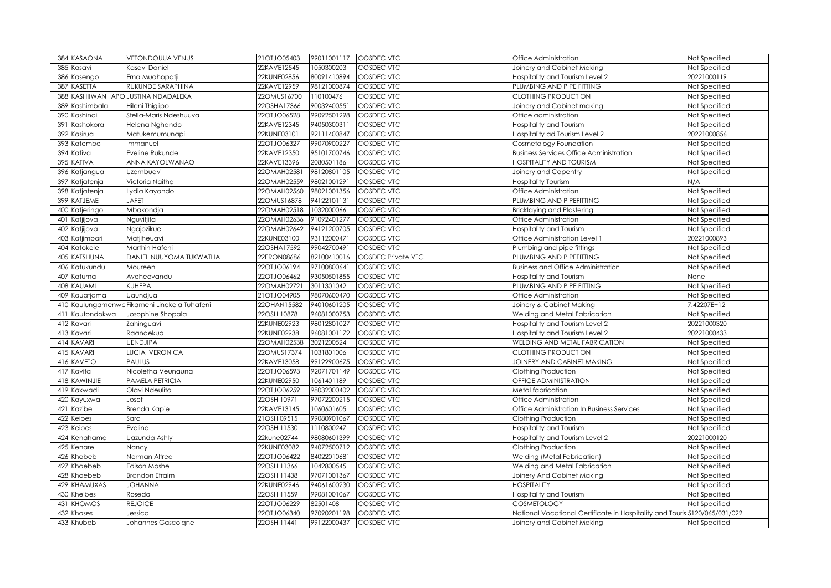| 384 KASAONA           | <b>VETONDOUUA VENUS</b>                  | 21OTJO05403 | 99011001117 | <b>COSDEC VTC</b>         | Office Administration                                                      | Not Specified |
|-----------------------|------------------------------------------|-------------|-------------|---------------------------|----------------------------------------------------------------------------|---------------|
| 385<br>Kasavi         | Kasavi Daniel                            | 22KAVE12545 | 1050300203  | COSDEC VTC                | Joinery and Cabinet Making                                                 | Not Specified |
| 386<br>Kasengo        | Erna Muahopatji                          | 22KUNE02856 | 80091410894 | <b>COSDEC VTC</b>         | Hospitality and Tourism Level 2                                            | 20221000119   |
| <b>KASETTA</b><br>387 | RUKUNDE SARAPHINA                        | 22KAVE12959 | 98121000874 | <b>COSDEC VTC</b>         | PLUMBING AND PIPE FITTING                                                  | Not Specified |
| 388                   | KASHIIWANHAPO JUSTINA NDADALEKA          | 22OMUS16700 | 110100476   | <b>COSDEC VTC</b>         | <b>CLOTHING PRODUCTION</b>                                                 | Not Specified |
| Kashimbala<br>389     | Hileni Thigiipo                          | 22OSHA17366 | 90032400551 | COSDEC VTC                | Joinery and Cabinet making                                                 | Not Specified |
| 390<br>Kashindi       | Stella-Maris Ndeshuuva                   | 22OTJO06528 | 99092501298 | COSDEC VTC                | Office administration                                                      | Not Specified |
| 391<br>Kashokora      | Helena Nghando                           | 22KAVE12345 | 94050300311 | COSDEC VTC                | Hospitality and Tourism                                                    | Not Specified |
| Kasirua<br>392        | Matukemumunapi                           | 22KUNE03101 | 92111400847 | <b>COSDEC VTC</b>         | Hospitality ad Tourism Level 2                                             | 20221000856   |
| 393<br>Katembo        | Immanuel                                 | 22OTJO06327 | 99070900227 | COSDEC VTC                | Cosmetology Foundation                                                     | Not Specified |
| Kativa<br>394         | Eveline Rukunde                          | 22KAVE12350 | 95101700746 | COSDEC VTC                | <b>Business Services Office Administration</b>                             | Not Specified |
| KATIVA<br>395         | ANNA KAYOLWANAO                          | 22KAVE13396 | 2080501186  | <b>COSDEC VTC</b>         | <b>HOSPITALITY AND TOURISM</b>                                             | Not Specified |
| Katjangua<br>396      | Uzembuavi                                | 22OMAH02581 | 98120801105 | <b>COSDEC VTC</b>         | Joinery and Capentry                                                       | Not Specified |
| 397<br>Katjatenja     | Victoria Naitha                          | 22OMAH02559 | 98021001291 | COSDEC VTC                | <b>Hospitality Tourism</b>                                                 | N/A           |
| 398<br>Katjatenja     | Lydia Kayando                            | 22OMAH02560 | 98021001356 | COSDEC VTC                | Office Administration                                                      | Not Specified |
| 399 KATJEME           | <b>JAFET</b>                             | 22OMUS16878 | 94122101131 | COSDEC VTC                | PLUMBING AND PIPEFITTING                                                   | Not Specified |
| 400<br>Katjeringo     | Mbakondja                                | 22OMAH02518 | 1032000066  | COSDEC VTC                | <b>Bricklaying and Plastering</b>                                          | Not Specified |
| Katjijova<br>401      | Nguvitjita                               | 22OMAH02636 | 91092401277 | COSDEC VTC                | Office Administration                                                      | Not Specified |
| Katjijova<br>402      | Ngajozikue                               | 22OMAH02642 | 94121200705 | COSDEC VTC                | Hospitality and Tourism                                                    | Not Specified |
| 403<br>Katjimbari     | Matjiheuavi                              | 22KUNE03100 | 93112000471 | COSDEC VTC                | Office Administration Level 1                                              | 20221000893   |
| Katokele<br>404       | Marthin Hafeni                           | 22OSHA17592 | 99042700491 | COSDEC VTC                | Plumbing and pipe fittings                                                 | Not Specified |
| KATSHUNA<br>405       | DANIEL NUUYOMA TUKWATHA                  | 22ERON08686 | 82100410016 | <b>COSDEC Private VTC</b> | PLUMBING AND PIPEFITTING                                                   | Not Specified |
| Katukundu<br>406      | Moureen                                  | 22OTJO06194 | 97100800641 | COSDEC VTC                | <b>Business and Office Administration</b>                                  | Not Specified |
| 407<br>Katuma         | Aveheovandu                              | 22OTJO06462 | 93050501855 | COSDEC VTC                | Hospitality and Tourism                                                    | <b>None</b>   |
| KAUAMI<br>408         | KUHEPA                                   | 22OMAH02721 | 3011301042  | COSDEC VTC                | PLUMBING AND PIPE FITTING                                                  | Not Specified |
| Kauatjama<br>409      | Uaundjua                                 | 21OTJO04905 | 98070600470 | COSDEC VTC                | Office Administration                                                      | Not Specified |
| 410                   | Kaulungamenwa Fikameni Linekela Tuhafeni | 22OHAN15582 | 94010601205 | <b>COSDEC VTC</b>         | Joinery & Cabinet Making                                                   | 7.42207E+12   |
| Kautondokwa<br>411    | Josophine Shopala                        | 22OSHI10878 | 96081000753 | <b>COSDEC VTC</b>         | Welding and Metal Fabrication                                              | Not Specified |
| 412<br>Kavari         | Zahinguavi                               | 22KUNE02923 | 98012801027 | COSDEC VTC                | Hospitality and Tourism Level 2                                            | 20221000320   |
| Kavari<br>413         | Raandekua                                | 22KUNE02938 | 96081001172 | COSDEC VTC                | Hospitality and Tourism Level 2                                            | 20221000433   |
| 414 KAVARI            | <b>UENDJIPA</b>                          | 22OMAH02538 | 3021200524  | COSDEC VTC                | WELDING AND METAL FABRICATION                                              | Not Specified |
| <b>KAVARI</b><br>415  | LUCIA VERONICA                           | 22OMUS17374 | 1031801006  | COSDEC VTC                | <b>CLOTHING PRODUCTION</b>                                                 | Not Specified |
| <b>KAVETO</b><br>416  | <b>PAULUS</b>                            | 22KAVE13058 | 99122900675 | COSDEC VTC                | JOINERY AND CABINET MAKING                                                 | Not Specified |
| Kavita<br>417         | Nicoletha Veunauna                       | 22OTJO06593 | 92071701149 | COSDEC VTC                | Clothing Production                                                        | Not Specified |
| KAWINJIE<br>418       | PAMELA PETRICIA                          | 22KUNE02950 | 1061401189  | COSDEC VTC                | OFFICE ADMINISTRATION                                                      | Not Specified |
| Kaxwadi<br>419        | Olavi Ndeulita                           | 22OTJO06259 | 98032000402 | COSDEC VTC                | Metal fabrication                                                          | Not Specified |
| Kayuxwa<br>420        | Josef                                    | 22OSHI10971 | 97072200215 | COSDEC VTC                | Office Administration                                                      | Not Specified |
| Kazibe<br>421         | Brenda Kapie                             | 22KAVE13145 | 1060601605  | COSDEC VTC                | Office Administration In Business Services                                 | Not Specified |
| 422<br>Keibes         | Sara                                     | 21OSHI09515 | 99080901067 | COSDEC VTC                | Clothing Production                                                        | Not Specified |
| Keibes<br>423         | Eveline                                  | 22OSHI11530 | 1110800247  | COSDEC VTC                | Hospitality and Tourism                                                    | Not Specified |
| 424<br>Kenahama       | Uazunda Ashly                            | 22kune02744 | 98080601399 | COSDEC VTC                | Hospitality and Tourism Level 2                                            | 20221000120   |
| 425<br>Kenare         | Nancy                                    | 22KUNE03082 | 94072500712 | COSDEC VTC                | Clothing Production                                                        | Not Specified |
| Khabeb<br>426         | Norman Alfred                            | 22OTJO06422 | 84022010681 | COSDEC VTC                | <b>Welding (Metal Fabrication)</b>                                         | Not Specified |
| 427<br>Khaebeb        | Edison Moshe                             | 22OSHI11366 | 1042800545  | COSDEC VTC                | Welding and Metal Fabrication                                              | Not Specified |
| 428<br>Khaebeb        | <b>Brandon Efraim</b>                    | 22OSHI11438 | 97071001367 | COSDEC VTC                | Joinery And Cabinet Making                                                 | Not Specified |
| KHAMUXAS<br>429       | <b>JOHANNA</b>                           | 22KUNE02946 | 94061600230 | COSDEC VTC                | <b>HOSPITALITY</b>                                                         | Not Specified |
| Kheibes<br>430        | Roseda                                   | 22OSHI11559 | 99081001067 | COSDEC VTC                | Hospitality and Tourism                                                    | Not Specified |
| <b>CHOMOS</b><br>43   | <b>REJOICE</b>                           | 22OTJO06229 | 82501408    | COSDEC VTC                | COSMETOLOGY                                                                | Not Specified |
| 432<br>Khoses         | Jessica                                  | 22OTJO06340 | 97090201198 | COSDEC VTC                | National Vocational Certificate in Hospitality and Touris 5120/065/031/022 |               |
| Khubeb<br>433         | Johannes Gascoigne                       | 22OSHI11441 | 99122000437 | COSDEC VTC                | Joinery and Cabinet Making                                                 | Not Specified |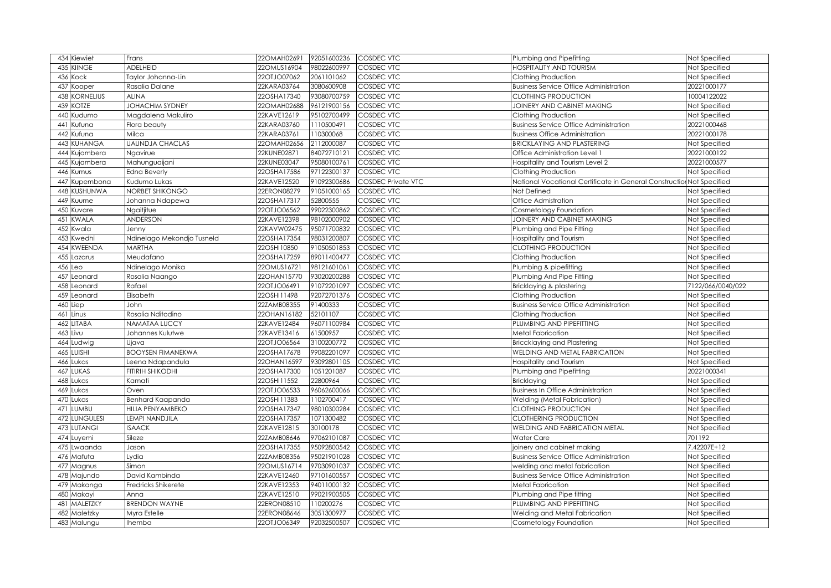| 434 Kiewiet                       | Frans                      | 22OMAH02691                | 92051600236               | <b>COSDEC VTC</b>               | Plumbing and Pipefitting                                              | Not Specified                  |
|-----------------------------------|----------------------------|----------------------------|---------------------------|---------------------------------|-----------------------------------------------------------------------|--------------------------------|
| 435<br><b>KIINGE</b>              | <b>ADELHEID</b>            | 22OMUS16904                | 98022600997               | COSDEC VTC                      | <b>OSPITALITY AND TOURISM</b>                                         | Not Specified                  |
| Kock<br>436                       | Taylor Johanna-Lin         | 22OTJO07062                | 2061101062                | <b>COSDEC VTC</b>               | Clothing Production                                                   | Not Specified                  |
| 437<br>Kooper                     | Rasalia Dalane             | 22KARA03764                | 3080600908                | <b>COSDEC VTC</b>               | <b>Business Service Office Administration</b>                         | 20221000177                    |
| KORNELIUS<br>438                  | <b>ALINA</b>               | 22OSHA17340                | 93080700759               | <b>COSDEC VTC</b>               | CLOTHING PRODUCTION                                                   | 10004122022                    |
| <b>KOTZE</b><br>439               | <b>JOHACHIM SYDNEY</b>     | 22OMAH02688                | 96121900156               | <b>COSDEC VTC</b>               | JOINERY AND CABINET MAKING                                            | Not Specified                  |
| Kudumo<br>440                     | Magdalena Makuliro         | 22KAVE12619                | 95102700499               | <b>COSDEC VTC</b>               | Clothing Production                                                   | Not Specified                  |
| 441<br>Kufuna                     | Flora beauty               | 22KARA03760                | 1110500491                | <b>COSDEC VTC</b>               | <b>Business Service Office Administration</b>                         | 20221000468                    |
| Kufuna<br>442                     | Milca                      | 22KARA03761                | 110300068                 | COSDEC VTC                      | <b>Business Office Administration</b>                                 | 20221000178                    |
| KUHANGA<br>443                    | <b>UAUNDJA CHACLAS</b>     | 22OMAH02656                | 2112000087                | COSDEC VTC                      | <b>BRICKLAYING AND PLASTERING</b>                                     | Not Specified                  |
| Kujambera<br>444                  | Ngavirue                   | 22KUNE02871                | 84072710121               | <b>COSDEC VTC</b>               | Office Administration Level                                           | 20221000122                    |
| Kujambera<br>445                  | Mahunguaijani              | 22KUNE03047                | 95080100761               | COSDEC VTC                      | Hospitality and Tourism Level 2                                       | 20221000577                    |
| 446<br>Kumus                      | <b>Edna Beverly</b>        | 22OSHA17586                | 97122300137               | <b>COSDEC VTC</b>               | Clothing Production                                                   | Not Specified                  |
| 447<br>Kupembona                  | Kudumo Lukas               | 22KAVE12520                | 91092300686               | <b>COSDEC Private VTC</b>       | National Vocational Certificate in General Construction Not Specified |                                |
| KUSHUNWA<br>448                   | NORBET SHIKONGO            | 22ERON08279                | 91051000165               | <b>COSDEC VTC</b>               | Not Defined                                                           | Not Specified                  |
| 449<br>Kuume                      | Johanna Ndapewa            | 22OSHA17317                | 52800555                  | COSDEC VTC                      | Office Admistration                                                   | Not Specified                  |
| 450<br>Kuvare                     | Ngaitjitue                 | 22OTJO06562                | 99022300862               | COSDEC VTC                      | Cosmetology Foundation                                                | Not Specified                  |
| <b>KWALA</b><br>451               | <b>ANDERSON</b>            | 22KAVE12398                | 98102000902               | <b>COSDEC VTC</b>               | JOINERY AND CABINET MAKING                                            | Not Specified                  |
| 452<br>Kwala                      | Jenny                      | 22KAVW02475                | 95071700832               | <b>COSDEC VTC</b>               | Plumbing and Pipe Fitting                                             | Not Specified                  |
| 453<br>Kwedhi                     | Ndinelago Mekondjo Tusneld | 22OSHA17354                | 98031200807               | <b>COSDEC VTC</b>               | Hospitality and Tourism                                               | Not Specified                  |
| KWEENDA<br>454                    | <b>MARTHA</b>              | 22OSHI10850                | 91050501853               | <b>COSDEC VTC</b>               | CLOTHING PRODUCTION                                                   | Not Specified                  |
| 455<br>Lazarus                    | Meudafano                  | 22OSHA17259                | 89011400477               | <b>COSDEC VTC</b>               | Clothing Production                                                   | Not Specified                  |
| 456<br>Leo                        | Ndinelago Monika           | 22OMUS16721                | 98121601061               | <b>COSDEC VTC</b>               | Plumbing & pipefitting                                                | Not Specified                  |
| 457<br>Leonard                    | Rosalia Naango             | 22OHAN15770                | 93020200288               | <b>COSDEC VTC</b>               | Plumbing And Pipe Fitting                                             | Not Specified                  |
| 458<br>Leonard                    | Rafael                     | 22OTJO06491                | 91072201097               | <b>COSDEC VTC</b>               | Bricklaying & plastering                                              | 7122/066/0040/022              |
| 459<br>Leonard                    | Elisabeth                  | 22OSHI11498                | 92072701376               | <b>COSDEC VTC</b>               | Clothing Production                                                   | Not Specified                  |
| 460<br>Liep                       | John                       | 22ZAMB08355                | 91400333                  | <b>COSDEC VTC</b>               | <b>Business Service Office Administration</b>                         | Not Specified                  |
| 461<br>Linus                      | Rosalia Nditodino          | 22OHAN16182                | 52101107                  | <b>COSDEC VTC</b>               | Clothing Production                                                   | Not Specified                  |
| LITABA<br>462                     | NAMATAA LUCCY              | 22KAVE12484                | 96071100984               | <b>COSDEC VTC</b>               | PLUMBING AND PIPEFITTING                                              | Not Specified                  |
| Livu<br>463                       | Johannes Kulutwe           | 22KAVE13416                | 61500957                  | <b>COSDEC VTC</b>               | Metal Fabrication                                                     | Not Specified                  |
| Ludwig<br>464                     | Uiava                      | 22OTJO06564                | 3100200772                | <b>COSDEC VTC</b>               | <b>Briccklaying and Plastering</b>                                    | Not Specified                  |
| LUISHI<br>465                     | <b>BOOYSEN FIMANEKWA</b>   | 22OSHA17678                | 99082201097               | <b>COSDEC VTC</b>               | WELDING AND METAL FABRICATION                                         | Not Specified                  |
| Lukas<br>466                      | Leena Ndapandula           | 22OHAN16597                | 93092801105               | <b>COSDEC VTC</b>               | Hospitality and Tourism                                               | Not Specified                  |
| LUKAS<br>467                      | FITIRIH SHIKODHI           | 22OSHA17300                | 1051201087                | <b>COSDEC VTC</b>               | Plumbing and Pipefitting                                              | 20221000341                    |
| Lukas<br>468                      | Kamati                     | 22OSHI11552                | 22800964                  | <b>COSDEC VTC</b>               | Bricklaying                                                           | Not Specified                  |
| Lukas<br>469                      | Oven                       | 22OTJO06533                | 96062600066               | <b>COSDEC VTC</b>               | <b>Business In Office Administration</b>                              | Not Specified                  |
| Lukas<br>470                      | Benhard Kaapanda           | 22OSHI11383                | 1102700417                | <b>COSDEC VTC</b>               | Welding (Metal Fabrication)                                           | Not Specified                  |
| LUMBU<br>471                      | HILIA PENYAMBEKO           | 22OSHA17347                | 98010300284               | <b>COSDEC VTC</b>               | CLOTHING PRODUCTION                                                   | Not Specified                  |
| LUNGULESI<br>472                  | <b>LEMPI NANDJILA</b>      | 22OSHA17357                | 1071300482                | <b>COSDEC VTC</b>               | CLOTHERING PRODUCTION                                                 | Not Specified                  |
| <b>LUTANGI</b><br>473             | <b>ISAACK</b>              | 22KAVE12815                | 30100178                  | <b>COSDEC VTC</b>               | <b>WELDING AND FABRICATION METAL</b>                                  | Not Specified                  |
| 474<br>Luyemi                     | Sileze                     | 22ZAMB08646                | 97062101087               | <b>COSDEC VTC</b>               | Water Care                                                            | 701192                         |
| Lwaanda<br>475                    | Jason                      | 22OSHA17355                | 95092800542               | <b>COSDEC VTC</b>               | oinery and cabinet making                                             | 7.42207E+12                    |
| Mafuta<br>476                     | Lydia                      | 22ZAMB08356                | 95021901028               | <b>COSDEC VTC</b>               | <b>Business Service Office Administration</b>                         | Not Specified                  |
| 477<br>Magnus                     | Simon                      | 22OMUS16714                | 97030901037               | <b>COSDEC VTC</b>               | welding and metal fabrication                                         | Not Specified                  |
| 478<br>Majundo                    | David Kambinda             | 22KAVE12460                | 97101600557               | <b>COSDEC VTC</b>               | <b>Business Service Office Administration</b>                         | Not Specified                  |
| Makanga<br>479                    |                            |                            |                           | COSDEC VTC                      | <b>Metal Fabrication</b>                                              | Not Specified                  |
|                                   | Fredricks Shikerete        | 22KAVE12353                | 94011000132               |                                 |                                                                       |                                |
| 480<br>Makayi                     | Anna                       | 22KAVE12510                | 99021900505               | COSDEC VTC                      | Plumbing and Pipe fitting                                             | Not Specified                  |
| MALETZKY<br>48                    | <b>BRENDON WAYNE</b>       | 22ERON08510                | 10200276                  | COSDEC VTC                      | PLUMBING AND PIPEFITTING                                              | Not Specified                  |
| 482<br>Maletzky<br>483<br>Malungu | Myra Estelle               | 22ERON08646<br>22OTJO06349 | 3051300977<br>92032500507 | <b>COSDEC VTC</b><br>COSDEC VTC | Welding and Metal Fabrication                                         | Not Specified<br>Not Specified |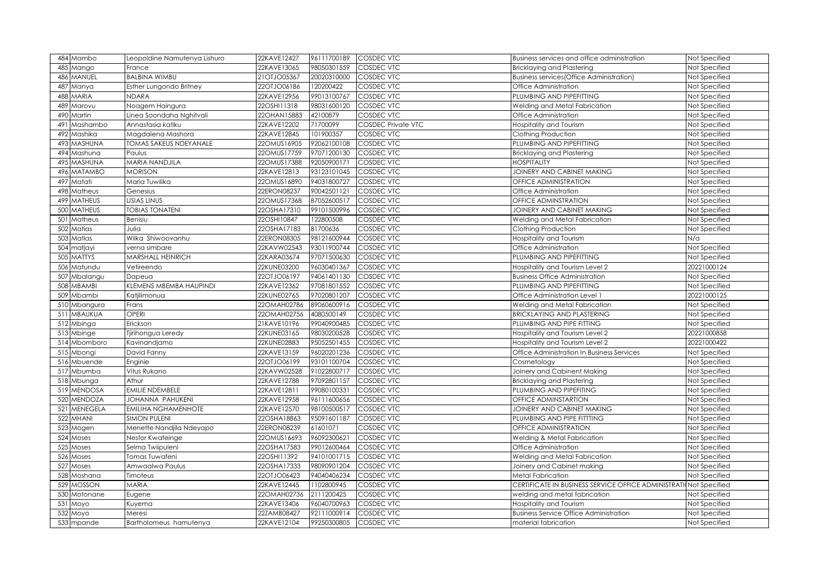| 484 Mambo             | Leopoldine Namutenya Lishuro   | 22KAVE12427 | 96111700189 | <b>COSDEC VTC</b>         | Business services and office administration                        | Not Specified |
|-----------------------|--------------------------------|-------------|-------------|---------------------------|--------------------------------------------------------------------|---------------|
| 485<br>Mango          | France                         | 22KAVE13065 | 98050301559 | COSDEC VTC                | <b>Bricklaying and Plastering</b>                                  | Not Specified |
| MANUEL<br>486         | <b>BALBINA WIMBU</b>           | 21OTJ005367 | 20020310000 | COSDEC VTC                | <b>Business services (Office Administration)</b>                   | Not Specified |
| 487<br>Manya          | Esther Lungondo Britney        | 22OTJO06186 | 120200422   | COSDEC VTC                | Office Administration                                              | Not Specified |
| <b>MARIA</b><br>488   | <b>NDARA</b>                   | 22KAVE12956 | 99013100767 | COSDEC VTC                | PLUMBING AND PIPEFITTING                                           | Not Specified |
| Marovu<br>489         | Noagem Haingura                | 22OSHI11318 | 98031600120 | COSDEC VTC                | Welding and Metal Fabrication                                      | Not Specified |
| Martin<br>490         | Linea Soondaha Nghitvali       | 22OHAN15883 | 42100879    | COSDEC VTC                | Office Administration                                              | Not Specified |
| 491<br>Mashambo       | Annastasia katiku              | 22KAVE12202 | 71700099    | <b>COSDEC Private VTC</b> | Hospitality and Tourism                                            | Not Specified |
| Mashika<br>492        | Magdalena Mashora              | 22KAVE12845 | 101900357   | COSDEC VTC                | Clothing Production                                                | Not Specified |
| 493<br>MASHUNA        | <b>TOMAS SAKEUS NDEY ANALE</b> | 22OMUS16905 | 92062100108 | <b>COSDEC VTC</b>         | PLUMBING AND PIPEFITTING                                           | Not Specified |
| 494 Mashuna           | Paulus                         | 22OMUS17759 | 97071200130 | COSDEC VTC                | <b>Bricklaying and Plastering</b>                                  | Not Specified |
| <b>MASHUNA</b><br>495 | MARIA NANDJILA                 | 22OMUS17388 | 92050900171 | COSDEC VTC                | <b>HOSPITALITY</b>                                                 | Not Specified |
| <b>MATAMBO</b><br>496 | <b>MORISON</b>                 | 22KAVE12813 | 93123101045 | COSDEC VTC                | JOINERY AND CABINET MAKING                                         | Not Specified |
| 497<br>Matati         | Maria Tuwilika                 | 22OMUS16890 | 94031800727 | COSDEC VTC                | OFFICE ADMINISTRATION                                              | Not Specified |
| Matheus<br>498        | Genesius                       | 22ERON08237 | 90042501121 | COSDEC VTC                | Office Administration                                              | Not Specified |
| 499 MATHEUS           | LISIAS LINUS                   | 22OMUS17368 | 87052600517 | COSDEC VTC                | OFFICE ADMINSTRATION                                               | Not Specified |
| <b>MATHEUS</b><br>500 | <b>TOBIAS TONATENI</b>         | 22OSHA17310 | 99101500996 | COSDEC VTC                | JOINERY AND CABINET MAKING                                         | Not Specified |
| Matheus<br>501        | Benisiu                        | 22OSHI10847 | 122800508   | COSDEC VTC                | Welding and Metal Fabrication                                      | Not Specified |
| Matias<br>502         | pilut.                         | 22OSHA17183 | 81700636    | COSDEC VTC                | Clothing Production                                                | Not Specified |
| 503 Matias            | Wilka Shiwoovanhu              | 22ERON08305 | 98121600944 | COSDEC VTC                | Hospitality and Tourism                                            | $N/\alpha$    |
| matjayi<br>504        | verna simbare                  | 22KAVW02543 | 93011900744 | COSDEC VTC                | Office Administration                                              | Not Specified |
| <b>MATTYS</b><br>505  | <b>MARSHALL HEINRICH</b>       | 22KARA03674 | 97071500630 | COSDEC VTC                | PLUMBING AND PIPEFITTING                                           | Not Specified |
| 506 Matundu           | Vetireendo                     | 22KUNE03200 | 96030401367 | COSDEC VTC                | Hospitality and Tourism Level 2                                    | 20221000124   |
| 507 Mbalangu          | Dapeua                         | 22OTJO06197 | 94061401130 | COSDEC VTC                | <b>Business Office Administration</b>                              | Not Specified |
| 508 MBAMBI            | KLEMENS MBEMBA HAUPINDI        | 22KAVE12362 | 97081801552 | COSDEC VTC                | PLUMBING AND PIPEFITTING                                           | Not Specified |
| 509 Mbambi            | Katjilimonua                   | 22KUNE02765 | 97020801207 | COSDEC VTC                | Office Administration Level 1                                      | 20221000125   |
| 510 Mbangura          | Frans                          | 22OMAH02786 | 89060600916 | <b>COSDEC VTC</b>         | Welding and Metal Fabrication                                      | Not Specified |
| 511 MBAUKUA           | OPERI                          | 22OMAH02756 | 4080500149  | COSDEC VTC                | <b>BRICKLAYING AND PLASTERING</b>                                  | Not Specified |
| 512 Mbinga            | Erickson                       | 21KAVE10196 | 99040900485 | COSDEC VTC                | PLUMBING AND PIPE FITTING                                          | Not Specified |
| 513 Mbinge            | Tjirihongua Leredy             | 22KUNE03165 | 98030200528 | COSDEC VTC                | Hospitality and Tourism Level 2                                    | 20221000858   |
| 514 Mbomboro          | Kavinandjamo                   | 22KUNE02883 | 95052501455 | <b>COSDEC VTC</b>         | Hospitality and Tourism Level 2                                    | 20221000422   |
| 515 Mbongi            | David Fanny                    | 22KAVE13159 | 96020201236 | COSDEC VTC                | Office Administration In Business Services                         | Not Specified |
| 516 Mbuende           | Enginie                        | 22OTJO06199 | 93101100704 | <b>COSDEC VTC</b>         | Cosmetology                                                        | Not Specified |
| 517 Mbumba            | Vitus Rukano                   | 22KAVW02528 | 91022800717 | COSDEC VTC                | Joinery and Cabinent Making                                        | Not Specified |
| 518 Mbunga            | Athur                          | 22KAVE12788 | 97092801157 | COSDEC VTC                | <b>Bricklaying and Plastering</b>                                  | Not Specified |
| 519 MENDOSA           | <b>EMILIE NDEMBELE</b>         | 22KAVE12811 | 99080100331 | COSDEC VTC                | PLUMBING AND PIPEFITING                                            | Not Specified |
| <b>MENDOZA</b><br>520 | JOHANNA PAHUKENI               | 22KAVE12958 | 96111600656 | COSDEC VTC                | OFFICE ADMINSTARTION                                               | Not Specified |
| MENEGELA<br>521       | <b>EMILIHA NGHAMENHOTE</b>     | 22KAVE12570 | 98100500517 | COSDEC VTC                | JOINERY AND CABINET MAKING                                         | Not Specified |
| 522<br><b>MHANI</b>   | <b>SIMON PULENI</b>            | 22OSHA18863 | 95091601187 | COSDEC VTC                | PLUMBING AND PIPE FITTTING                                         | Not Specified |
| 523<br>Mogen          | Menette Nandjila Ndeyapo       | 22ERON08239 | 61601071    | COSDEC VTC                | <b>OFFICE ADMINISTRATION</b>                                       | Not Specified |
| 524 Moses             | Nestor Kwafeinge               | 22OMUS16693 | 96092300621 | COSDEC VTC                | Welding & Metal Fabrication                                        | Not Specified |
| 525<br>Moses          | Selma Twiipuleni               | 22OSHA17583 | 99012600464 | COSDEC VTC                | Office Administration                                              | Not Specified |
| 526<br>Moses          | Tomas Tuwafeni                 | 22OSHI11392 | 94101001715 | COSDEC VTC                | Welding and Metal Fabrication                                      | Not Specified |
| 527<br>Moses          | Amwaalwa Paulus                | 22OSHA17333 | 98090901204 | COSDEC VTC                | Joinery and Cabinet making                                         | Not Specified |
| 528 Moshana           | Timoteus                       | 22OTJO06423 | 94040406234 | COSDEC VTC                | <b>Metal Fabrication</b>                                           | Not Specified |
| <b>MOSSON</b><br>529  | MARIA                          | 22KAVE12445 | 1102800945  | COSDEC VTC                | CERTIFICATE IN BUSINESS SERVICE OFFICE ADMINISTRATION of Specified |               |
| 530<br>Motonane       | Eugene                         | 22OMAH02736 | 2111200425  | COSDEC VTC                | welding and metal fabrication                                      | Not Specified |
| 531<br>Moyo           | Kuyema                         | 22KAVE13406 | 96040700963 | COSDEC VTC                | Hospitality and Tourism                                            | Not Specified |
| 532 Moyo              | Meresi                         | 22ZAMB08427 | 92111000914 | COSDEC VTC                | <b>Business Service Office Administration</b>                      | Not Specified |
| 533 mpande            | Bartholomeus hamutenya         | 22KAVE12104 | 99250300805 | COSDEC VTC                | material fabrication                                               | Not Specified |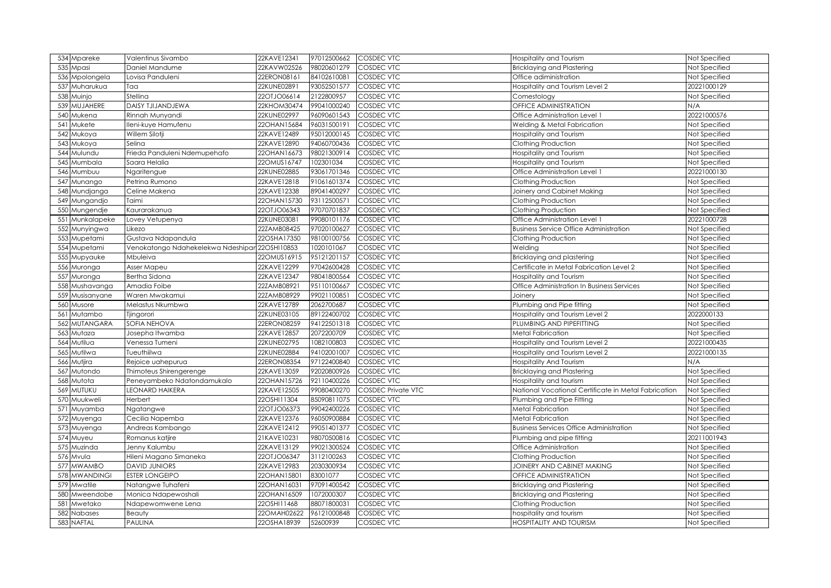| 534 Mpareke                     | Valentinus Sivambo                 | 22KAVE12341                | 97012500662             | <b>COSDEC VTC</b>         | Hospitality and Tourism                                     | Not Specified                  |
|---------------------------------|------------------------------------|----------------------------|-------------------------|---------------------------|-------------------------------------------------------------|--------------------------------|
| 535<br>Mpasi                    | Daniel Mandume                     | 22KAVW02526                | 98020601279             | COSDEC VTC                | <b>Bricklaying and Plastering</b>                           | Not Specified                  |
| 536<br>Mpolongela               | Lovisa Panduleni                   | 22ERON08161                | 84102610081             | COSDEC VTC                | Office adiministration                                      | Not Specified                  |
| 537<br>Muharukua                | Taa                                | 22KUNE02891                | 93052501577             | <b>COSDEC VTC</b>         | Hospitality and Tourism Level 2                             | 20221000129                    |
| 538<br>Muinjo                   | Stellina                           | 22OTJO06614                | 2122800957              | <b>COSDEC VTC</b>         | Comestology                                                 | Not Specified                  |
| 539<br>MUJAHERE                 | <b>DAISY TJIJANDJEWA</b>           | 22KHOM30474                | 99041000240             | <b>COSDEC VTC</b>         | <b>OFFICE ADMINISTRATION</b>                                | N/A                            |
| Mukena<br>540                   | Rinnah Munyandi                    | 22KUNE02997                | 96090601543             | COSDEC VTC                | Office Administration Level 1                               | 20221000576                    |
| 541<br>Mukete                   | lleni-kuye Hamufenu                | 22OHAN15684                | 96031500191             | COSDEC VTC                | Welding & Metal Fabrication                                 | Not Specified                  |
| 542<br>Mukoya                   | Willem Silotji                     | 22KAVE12489                | 95012000145             | <b>COSDEC VTC</b>         | Hospitality and Tourism                                     | Not Specified                  |
| 543<br>Mukoya                   | Selina                             | 22KAVE12890                | 94060700436             | COSDEC VTC                | Clothing Production                                         | Not Specified                  |
| 544<br>Mulundu                  | Frieda Panduleni Ndemupehafo       | 22OHAN16673                | 98021300914             | COSDEC VTC                | Hospitality and Tourism                                     | Not Specified                  |
| 545<br>Mumbala                  | Saara Helalia                      | 22OMUS16747                | 102301034               | <b>COSDEC VTC</b>         | Hospitality and Tourism                                     | Not Specified                  |
| 546<br>Mumbuu                   | Ngaritengue                        | 22KUNE02885                | 93061701346             | <b>COSDEC VTC</b>         | Office Administration Level 1                               | 20221000130                    |
| 547<br>Munango                  | Petrina Rumono                     | 22KAVE12818                | 91061601374             | <b>COSDEC VTC</b>         | <b>Clothing Production</b>                                  | Not Specified                  |
| 548<br>Mundjanga                | Celine Makena                      | 22KAVE12338                | 89041400297             | COSDEC VTC                | Joinery and Cabinet Making                                  | Not Specified                  |
| 549<br>Mungandjo                | Taimi                              | 22OHAN15730                | 93112500571             | COSDEC VTC                | Clothing Production                                         | Not Specified                  |
| Mungendje<br>550                | Kaurarakanua                       | 22OTJO06343                | 97070701837             | COSDEC VTC                | Clothing Production                                         | Not Specified                  |
| 551<br>Munkalapeke              | Lovey Vetupenya                    | 22KUNE03081                | 99080101176             | COSDEC VTC                | Office Administration Level 1                               | 20221000728                    |
| 552<br>Munyingwa                | ikezo                              | 22ZAMB08425                | 97020100627             | COSDEC VTC                | <b>Business Service Office Administration</b>               | Not Specified                  |
| 553<br>Mupetami                 | Gustava Ndapandula                 | 22OSHA17350                | 98100100756             | COSDEC VTC                | Clothing Production                                         | Not Specified                  |
| 554<br>Mupetami                 | Venokatongo Ndahekelekwa Ndeshipar | 22OSHI10853                | 1020101067              | COSDEC VTC                | Welding                                                     | Not Specified                  |
| 555<br>Mupyauke                 | Mbuleiva                           | 22OMUS16915                | 95121201157             | COSDEC VTC                | Bricklaying and plastering                                  | Not Specified                  |
| 556<br>Muronga                  | Asser Mapeu                        | 22KAVE12299                | 97042600428             | COSDEC VTC                | Certificate in Metal Fabrication Level 2                    | Not Specified                  |
| 557<br>Muronga                  | <b>Bertha Sidona</b>               | 22KAVE12347                | 98041800564             | COSDEC VTC                | Hospitality and Tourism                                     | Not Specified                  |
| 558<br>Mushavanga               | Amadia Foibe                       | 22ZAMB08921                | 95110100667             | COSDEC VTC                | Office Administration In Business Services                  | Not Specified                  |
| 559<br>Musisanyane              | Waren Mwakamui                     | 22ZAMB08929                | 99021100851             | COSDEC VTC                | Joinery                                                     | Not Specified                  |
| 560<br>Musore                   | Melastus Nkumbwa                   | 22KAVE12789                | 2062700687              | COSDEC VTC                | Plumbing and Pipe fitting                                   | Not Specified                  |
| Mutambo<br>561                  | Tjingorori                         | 22KUNE03105                | 89122400702             | COSDEC VTC                | Hospitality and Tourism Level 2                             | 2022000133                     |
| <b>MUTANGARA</b><br>562         | SOFIA NEHOVA                       | 22ERON08259                | 94122501318             | COSDEC VTC                | PLUMBING AND PIPEFITTING                                    | Not Specified                  |
| 563<br>Mutaza                   | Josepha Itwamba                    | 22KAVE12857                | 2072200709              | COSDEC VTC                | Metal Fabrication                                           | Not Specified                  |
| 564<br>Mutilua                  | Venessa Tumeni                     | 22KUNE02795                | 1082100803              | COSDEC VTC                | Hospitality and Tourism Level 2                             | 20221000435                    |
| 565<br>Mutilwa                  | Tueuthiilwa                        | 22KUNE02884                | 94102001007             | COSDEC VTC                | <b>Hospitality and Tourism Level 2</b>                      | 20221000135                    |
| 566<br>Mutjira                  | Rejoice uahepurua                  | 22ERON08354                | 97122400840             | COSDEC VTC                | <b>Hospitality And Tourism</b>                              | N/A                            |
| 567<br>Mutondo                  | Thimoteus Shirengerenge            | 22KAVE13059                | 92020800926             | COSDEC VTC                | Bricklaying and Plastering                                  | Not Specified                  |
| Mutota<br>568                   | Peneyambeko Ndatondamukalo         | 22OHAN15726                | 92110400226             | COSDEC VTC                | Hospitality and tourism                                     | Not Specified                  |
| MUTUKU<br>569                   | <b>LEONARD HAIKERA</b>             | 22KAVE12505                | 99080400270             | <b>COSDEC Private VTC</b> | <b>Vational Vocational Certificate in Metal Fabrication</b> | Not Specified                  |
| 570<br>Muukweli                 | Herbert                            | 22OSHI11304                | 85090811075             | COSDEC VTC                | Plumbing and Pipe Fitting                                   | Not Specified                  |
| 571<br>Muyamba                  |                                    |                            |                         |                           | <b>Metal Fabrication</b>                                    | Not Specified                  |
| 572<br>Muyenga                  | Ngatangwe                          | 22OTJO06373                | 99042400226             | COSDEC VTC                |                                                             |                                |
|                                 | Cecilia Napemba                    | 22KAVE12376                | 96050900884             | COSDEC VTC                | Metal Fabrication                                           | Not Specified                  |
| 573<br>Muyenga                  | Andreas Kambango                   | 22KAVE12412                | 99051401377             | COSDEC VTC                | <b>Business Services Office Administration</b>              | Not Specified                  |
| 574<br>Muyeu                    | Romanus katjire                    | 21KAVE10231                | 98070500816             | COSDEC VTC                | Plumbing and pipe fitting                                   | 20211001943                    |
| Muzinda<br>575                  | Jenny Kalumbu                      | 22KAVE13129                | 99021300524             | COSDEC VTC                | Office Administration                                       | Not Specified                  |
| 576<br>Mvula                    | Hileni Magano Simaneka             | 22OTJO06347                | 3112100263              | COSDEC VTC                | Clothing Production                                         | Not Specified                  |
| <b>MWAMBO</b><br>577            | <b>DAVID JUNIORS</b>               | 22KAVE12983                | 2030300934              | COSDEC VTC                | JOINERY AND CABINET MAKING                                  | Not Specified                  |
| <b>MWANDINGI</b><br>578         | <b>ESTER LONGEIPO</b>              | 22OHAN1580                 | 83001077                | COSDEC VTC                | <b>OFFICE ADMINISTRATION</b>                                | Not Specified                  |
| Mwatile<br>579                  | Natangwe Tuhafeni                  | 22OHAN16031                | 97091400542             | COSDEC VTC                | Bricklaying and Plastering                                  | Not Specified                  |
| 580<br>Mweendobe                | Monica Ndapewoshali                | 22OHAN16509                | 1072000307              | COSDEC VTC                | <b>Bricklaying and Plastering</b>                           | Not Specified                  |
| 58<br>Mwetako                   | <b>Ndapewomwene Lena</b>           | 22OSHI11468                | 88071800031             | COSDEC VTC                | Clothing Production                                         | Not Specified                  |
| 582<br>Nabases<br>NAFTAL<br>583 | Beauty<br>PAULINA                  | 22OMAH02622<br>22OSHA18939 | 96121000848<br>52600939 | COSDEC VTC<br>COSDEC VTC  | nospitality and tourism<br>HOSPITALITY AND TOURISM          | Not Specified<br>Not Specified |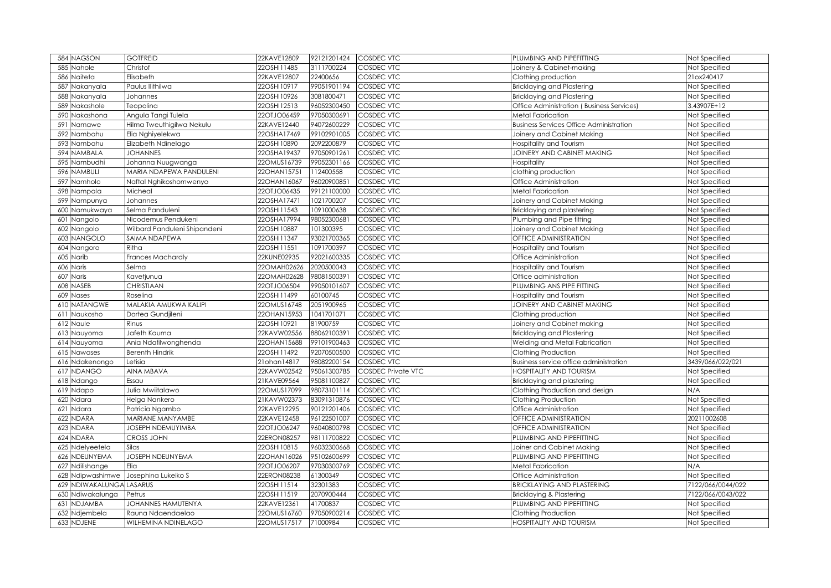| 584 NAGSON                         | <b>GOTFREID</b>              | 22KAVE12809 | 92121201424 | <b>COSDEC VTC</b>         | PLUMBING AND PIPEFITTING                       | Not Specified     |
|------------------------------------|------------------------------|-------------|-------------|---------------------------|------------------------------------------------|-------------------|
| 585<br>Nahole                      | Christof                     | 22OSHI11485 | 3111700224  | COSDEC VTC                | Joinery & Cabinet-making                       | Not Specified     |
| Naiteta<br>586                     | Elisabeth                    | 22KAVE12807 | 22400656    | COSDEC VTC                | Clothing production                            | 21ox240417        |
| 587<br>Nakanyala                   | Paulus llithilwa             | 22OSHI10917 | 99051901194 | <b>COSDEC VTC</b>         | <b>Bricklaying and Plastering</b>              | Not Specified     |
| Nakanyala<br>588                   | Johannes                     | 22OSHI10926 | 3081800471  | <b>COSDEC VTC</b>         | <b>Bricklaying and Plastering</b>              | Not Specified     |
| Nakashole<br>589                   | Teopolina                    | 22OSHI12513 | 96052300450 | <b>COSDEC VTC</b>         | Office Administration (Business Services)      | 3.43907E+12       |
| Nakashona<br>59C                   | Angula Tangi Tulela          | 22OTJO06459 | 97050300691 | <b>COSDEC VTC</b>         | <b>Metal Fabrication</b>                       | Not Specified     |
| 591<br>Namawe                      | Hilma Tweuthigilwa Nekulu    | 22KAVE12440 | 94072600229 | COSDEC VTC                | <b>Business Services Office Administration</b> | Not Specified     |
| 592<br>Nambahu                     | Elia Nghiyelekwa             | 22OSHA17469 | 99102901005 | <b>COSDEC VTC</b>         | Joinery and Cabinet Making                     | Not Specified     |
| 593<br>Nambahu                     | Elizabeth Ndinelago          | 22OSHI10890 | 2092200879  | <b>COSDEC VTC</b>         | Hospitality and Tourism                        | Not Specified     |
| <b>NAMBALA</b><br>594              | <b>JOHANNES</b>              | 22OSHA19437 | 97050901261 | COSDEC VTC                | JOINERY AND CABINET MAKING                     | Not Specified     |
| Nambudhi<br>595                    | Johanna Nuugwanga            | 22OMUS16739 | 99052301166 | COSDEC VTC                | Hospitality                                    | Not Specified     |
| <b>NAMBULI</b><br>596              | MARIA NDAPEWA PANDULENI      | 22OHAN15751 | 112400558   | COSDEC VTC                | clothing production                            | Not Specified     |
| 597<br>Namholo                     | Naftal Nghikoshomwenyo       | 22OHAN16067 | 96020900851 | COSDEC VTC                | Office Administration                          | Not Specified     |
| Nampala<br>598                     | Micheal                      | 22OTJO06435 | 99121100000 | COSDEC VTC                | Metal Fabrication                              | Not Specified     |
| 599<br>Nampunya                    | Johannes                     | 22OSHA17471 | 1021700207  | COSDEC VTC                | Joinery and Cabinet Making                     | Not Specified     |
| Namukwaya<br>600                   | Selma Panduleni              | 22OSHI11543 | 1091000638  | COSDEC VTC                | Bricklaying and plastering                     | Not Specified     |
| 601<br>Nangolo                     | Nicodemus Pendukeni          | 22OSHA17994 | 98052300681 | COSDEC VTC                | Plumbing and Pipe fitting                      | Not Specified     |
| 602<br>Nangolo                     | Wilbard Panduleni Shipandeni | 22OSHI10887 | 101300395   | COSDEC VTC                | Joinery and Cabinet Making                     | Not Specified     |
| <b>NANGOLO</b><br>603              | SAIMA NDAPEWA                | 22OSHI11347 | 93021700365 | COSDEC VTC                | OFFICE ADMINISTRATION                          | Not Specified     |
| 604 Nangoro                        | Ritha                        | 22OSHI11551 | 1091700397  | COSDEC VTC                | Hospitality and Tourism                        | Not Specified     |
| 605<br>Narib                       | <b>Frances Machardly</b>     | 22KUNE02935 | 92021600335 | COSDEC VTC                | Office Administration                          | Not Specified     |
| 606<br>Naris                       | Selma                        | 22OMAH02626 | 2020500043  | COSDEC VTC                | Hospitality and Tourism                        | Not Specified     |
| Naris<br>607                       | Kavetjunua                   | 22OMAH02628 | 98081500391 | COSDEC VTC                | Office administration                          | Not Specified     |
| <b>NASEB</b><br>608                | CHRISTIAAN                   | 22OTJO06504 | 99050101607 | COSDEC VTC                | PLUMBING ANS PIPE FITTING                      | Not Specified     |
| 609 Nases                          | Roselina                     | 22OSHI11499 | 60100745    | COSDEC VTC                | Hospitality and Tourism                        | Not Specified     |
| <b>NATANGWE</b><br>610             | MALAKIA AMUKWA KALIPI        | 22OMUS16748 | 2051900965  | COSDEC VTC                | JOINERY AND CABINET MAKING                     | Not Specified     |
| Naukosho<br>611                    | Dortea Gundjileni            | 22OHAN15953 | 1041701071  | COSDEC VTC                | Clothing production                            | Not Specified     |
| 612 Naule                          | Rinus                        | 22OSHI10921 | 81900759    | COSDEC VTC                | Joinery and Cabinet making                     | Not Specified     |
| Nauyoma<br>613                     | Jafeth Kauma                 | 22KAVW02556 | 88062100391 | COSDEC VTC                | Bricklaying and Plastering                     | Not Specified     |
| 614 Nauyoma                        | Ania Ndafilwonghenda         | 22OHAN15688 | 99101900463 | <b>COSDEC VTC</b>         | Welding and Metal Fabrication                  | Not Specified     |
| 615 Nawases                        | <b>Berenth Hindrik</b>       | 22OSHI11492 | 92070500500 | COSDEC VTC                | Clothing Production                            | Not Specified     |
| 616 Ndakenongo                     | Letisia                      | 21ohan14817 | 98082200154 | COSDEC VTC                | Business service office administration         | 3439/066/022/021  |
| <b>NDANGO</b><br>617               | AINA MBAVA                   | 22KAVW02542 | 95061300785 | <b>COSDEC Private VTC</b> | <b>HOSPITALITY AND TOURISM</b>                 | Not Specified     |
| 618 Ndango                         | Essau                        | 21KAVE09564 | 95081100827 | COSDEC VTC                | Bricklaying and plastering                     | Not Specified     |
| 619 Ndapo                          | Julia Mwiitalawo             | 22OMUS17099 | 98073101114 | COSDEC VTC                | Clothing Production and design                 | N/A               |
| Ndara<br>620                       | Helga Nankero                | 21KAVW02373 | 83091310876 | COSDEC VTC                | Clothing Production                            | Not Specified     |
| Ndara<br>621                       | Patricia Ngambo              | 22KAVE12295 | 90121201406 | COSDEC VTC                | Office Administration                          | Not Specified     |
| <b>NDARA</b><br>622                | MARIANE MANYAMBE             | 22KAVE12458 | 96122501007 | COSDEC VTC                | OFFICE ADMINISTRATION                          | 20211002608       |
| <b>NDARA</b><br>623                | JOSEPH NDEMUYIMBA            | 22OTJO06247 | 96040800798 | COSDEC VTC                | <b>OFFICE ADMINISTRATION</b>                   | Not Specified     |
| 624 NDARA                          | <b>CROSS JOHN</b>            | 22ERON08257 | 98111700822 | COSDEC VTC                | PLUMBING AND PIPEFITTING                       | Not Specified     |
| Ndelyeetela<br>625                 | Silas                        | 22OSHI10815 | 96032300668 | COSDEC VTC                | Joiner and Cabinet Making                      | Not Specified     |
| <b>NDEUNYEMA</b><br>626            | <b>JOSEPH NDEUNYEMA</b>      | 22OHAN16026 | 95102600699 | COSDEC VTC                | PLUMBING AND PIPEFITTING                       | Not Specified     |
| Ndilishange<br>627                 | Elia                         | 22OTJO06207 | 97030300769 | COSDEC VTC                | Metal Fabrication                              | N/A               |
| Ndipwashimwe<br>628                | Josephina Lukeiko S          | 22ERON08238 | 61300349    | COSDEC VTC                | Office Administration                          | Not Specified     |
| <b>VDIWAKALUNGA LASARUS</b><br>629 |                              | 22OSHI11514 | 32301383    | COSDEC VTC                | <b>BRICKLAYING AND PLASTERING</b>              | 7122/066/0044/022 |
| 630<br>Ndiwakalunga                | Petrus                       | 22OSHI11519 | 2070900444  | COSDEC VTC                | Bricklaying & Plastering                       | 7122/066/0043/022 |
| 631<br><b>NDJAMBA</b>              | JOHANNES HAMUTENYA           | 22KAVE12361 | 41700837    | COSDEC VTC                | PLUMBING AND PIPEFITTING                       | Not Specified     |
| 632<br>Ndjembela                   | Rauna Ndaendaelao            | 22OMUS16760 | 97050900214 | COSDEC VTC                | Clothing Production                            | Not Specified     |
| 633 NDJENE                         | WILHEMINA NDINELAGO          | 22OMUS17517 | 71000984    | COSDEC VTC                | <b>HOSPITALITY AND TOURISM</b>                 | Not Specified     |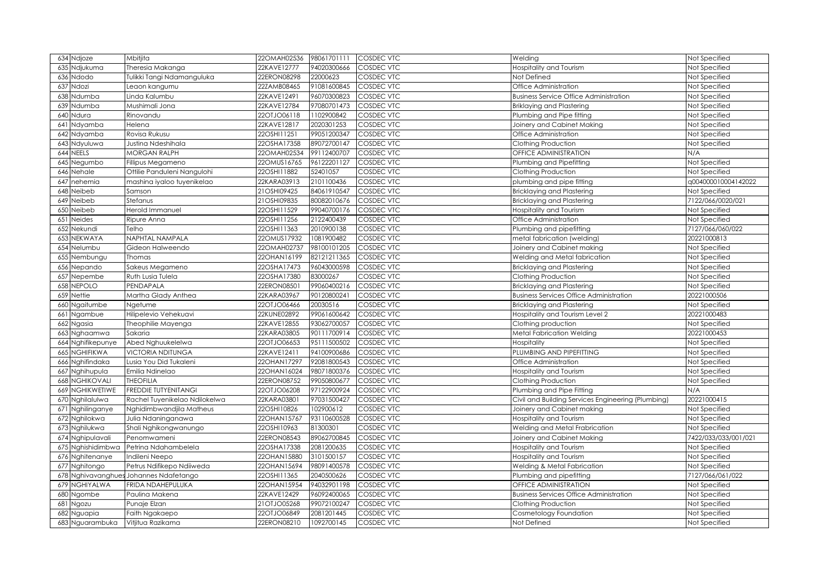| 634 Ndjoze              | Mbitjita                           | 22OMAH02536 | 98061701111 | <b>COSDEC VTC</b> | Welding                                            | Not Specified        |
|-------------------------|------------------------------------|-------------|-------------|-------------------|----------------------------------------------------|----------------------|
| 635<br>Ndjukuma         | Theresia Makanga                   | 22KAVE12777 | 94020300666 | COSDEC VTC        | Hospitality and Tourism                            | Not Specified        |
| Ndodo<br>636            | Tulikki Tangi Ndamanguluka         | 22ERON08298 | 22000623    | COSDEC VTC        | Not Defined                                        | Not Specified        |
| 637<br>Ndozi            | Leaon kangumu                      | 22ZAMB08465 | 91081600845 | COSDEC VTC        | Office Administration                              | Not Specified        |
| 638<br>Ndumba           | Linda Kalumbu                      | 22KAVE12491 | 96070300823 | COSDEC VTC        | <b>Business Service Office Administration</b>      | Not Specified        |
| 639<br>Ndumba           | Mushimali Jona                     | 22KAVE12784 | 97080701473 | COSDEC VTC        | <b>Briklaying and Plastering</b>                   | Not Specified        |
| Ndura<br>64C            | Rinovandu                          | 22OTJO06118 | 1102900842  | COSDEC VTC        | Plumbing and Pipe fitting                          | Not Specified        |
| Ndyamba<br>641          | Helena                             | 22KAVE12817 | 2020301253  | COSDEC VTC        | Joinery and Cabinet Making                         | Not Specified        |
| Ndyamba<br>642          | Rovisa Rukusu                      | 22OSHI11251 | 99051200347 | <b>COSDEC VTC</b> | Office Administration                              | Not Specified        |
| Ndyuluwa<br>643         | Justina Ndeshihala                 | 22OSHA17358 | 89072700147 | <b>COSDEC VTC</b> | Clothing Production                                | Not Specified        |
| NEELS<br>644            | <b>MORGAN RALPH</b>                | 22OMAH02534 | 99112400707 | COSDEC VTC        | OFFICE ADMINISTRATION                              | N/A                  |
| 645<br>Negumbo          | Fillipus Megameno                  | 22OMUS16765 | 96122201127 | <b>COSDEC VTC</b> | Plumbing and Pipefitting                           | Not Specified        |
| Nehale<br>646           | Ottilie Panduleni Nangulohi        | 22OSHI11882 | 52401057    | <b>COSDEC VTC</b> | Clothing Production                                | Not Specified        |
| 647<br>nehemia          | mashina iyaloo tuyenikelao         | 22KARA03913 | 2101100436  | <b>COSDEC VTC</b> | plumbing and pipe fitting                          | q004000010004142022  |
| Neibeb<br>648           | Samson                             | 21OSHI09425 | 84061910547 | COSDEC VTC        | <b>Bricklaying and Plastering</b>                  | Not Specified        |
| 649<br>Neibeb           | Stefanus                           | 21OSHI09835 | 80082010676 | COSDEC VTC        | <b>Bricklaying and Plastering</b>                  | 7122/066/0020/021    |
| Neibeb<br>650           | Herold Immanuel                    | 22OSHI11529 | 99040700176 | <b>COSDEC VTC</b> | Hospitality and Tourism                            | Not Specified        |
| <b>Neides</b><br>651    | Ripure Anna                        | 22OSHI11256 | 2122400439  | <b>COSDEC VTC</b> | Office Administration                              | Not Specified        |
| Nekundi<br>652          | Telho                              | 22OSHI11363 | 2010900138  | COSDEC VTC        | Plumbing and pipefitting                           | 7127/066/060/022     |
| NEKWAYA<br>653          | NAPHTAL NAMPALA                    | 22OMUS17932 | 1081900482  | COSDEC VTC        | metal fabrication (welding)                        | 20221000813          |
| Nelumbu<br>654          | Gideon Halweendo                   | 22OMAH02737 | 98100101205 | COSDEC VTC        | Joinery and Cabinet making                         | Not Specified        |
| Nembungu<br>655         | Thomas                             | 22OHAN16199 | 82121211365 | COSDEC VTC        | Welding and Metal fabrication                      | Not Specified        |
| 656<br>Nepando          | Sakeus Megameno                    | 22OSHA17473 | 96043000598 | COSDEC VTC        | <b>Bricklaying and Plastering</b>                  | Not Specified        |
| Nepembe<br>657          | Ruth Lusia Tulela                  | 22OSHA17380 | 83000267    | COSDEC VTC        | Clothing Production                                | Not Specified        |
| <b>NEPOLO</b><br>658    | PENDAPALA                          | 22ERON08501 | 99060400216 | COSDEC VTC        | <b>Bricklaying and Plastering</b>                  | Not Specified        |
| <b>Nettie</b><br>659    | Martha Glady Anthea                | 22KARA03967 | 90120800241 | COSDEC VTC        | <b>Business Services Office Administration</b>     | 20221000506          |
| Ngaitumbe<br>66C        | Ngetume                            | 22OTJO06466 | 20030516    | COSDEC VTC        | <b>Bricklaying and Plastering</b>                  | Not Specified        |
| Ngambue<br>661          | Hilipelevio Vehekuavi              | 22KUNE02892 | 99061600642 | COSDEC VTC        | Hospitality and Tourism Level 2                    | 20221000483          |
| Ngasia<br>662           | Theophilie Mayenga                 | 22KAVE12855 | 93062700057 | COSDEC VTC        | Clothing production                                | Not Specified        |
| Nghaamwa<br>663         | Sakaria                            | 22KARA03805 | 90111700914 | COSDEC VTC        | Metal Fabrication Welding                          | 20221000453          |
| 664 Nghifikepunye       | Abed Nghuukelelwa                  | 22OTJO06653 | 95111500502 | COSDEC VTC        | Hospitality                                        | Not Specified        |
| <b>NGHIFIKWA</b><br>665 | <b>VICTORIA NDITUNGA</b>           | 22KAVE12411 | 94100900686 | COSDEC VTC        | PLUMBING AND PIPEFITTING                           | Not Specified        |
| Nghifindaka<br>666      | Lusia You Did Tukaleni             | 22OHAN17297 | 92081800543 | COSDEC VTC        | Office Administration                              | Not Specified        |
| 667 Nghihupula          | Emilia Ndinelao                    | 22OHAN16024 | 98071800376 | COSDEC VTC        | Hospitality and Tourism                            | Not Specified        |
| <b>668 NGHIKOVALI</b>   | <b>THEOFILIA</b>                   | 22ERON08752 | 99050800677 | COSDEC VTC        | Clothing Production                                | Not Specified        |
| 669 NGHIKWETIWE         | <b>FREDDIE TUTYENITANGI</b>        | 22OTJO06208 | 97122900924 | COSDEC VTC        | Plumbing and Pipe Fitting                          | N/A                  |
| Nghilalulwa<br>670      | Rachel Tuyenikelao Ndilokelwa      | 22KARA03801 | 97031500427 | COSDEC VTC        | Civil and Building Services Engineering (Plumbing) | 20221000415          |
| 671<br>Nghilinganye     | Nghidimbwandjila Matheus           | 22OSHI10826 | 102900612   | COSDEC VTC        | Joinery and Cabinet making                         | Not Specified        |
| 672 Nghilokwa           | Julia Ndaninganawa                 | 22OHAN15767 | 93110600528 | COSDEC VTC        | Hospitality and Tourism                            | Not Specified        |
| 673 Nghilukwa           | Shali Nghikongwanungo              | 22OSHI10963 | 81300301    | COSDEC VTC        | Welding and Metal Frabrication                     | Not Specified        |
| 674 Nghipulavali        | Penomwameni                        | 22ERON08543 | 89062700845 | COSDEC VTC        | Joinery and Cabinet Making                         | 7422/033/033/001/021 |
| 675 Nghishidimbwa       | Petrina Ndahambelela               | 22OSHA17338 | 2081200635  | COSDEC VTC        | Hospitality and Tourism                            | Not Specified        |
| 676 Nghitenanye         | Indileni Neepo                     | 22OHAN15880 | 3101500157  | COSDEC VTC        | Hospitality and Tourism                            | Not Specified        |
| Nghitongo<br>677        | Petrus Ndifikepo Ndiiweda          | 22OHAN15694 | 98091400578 | COSDEC VTC        | Welding & Metal Fabrication                        | Not Specified        |
| 678                     | Nghivavanghues Johannes Ndafetango | 22OSHI11365 | 2040500626  | COSDEC VTC        | Plumbing and pipefitting                           | 7127/066/061/022     |
| NGHIYALWA<br>679        | FRIDA NDAHEPULUKA                  | 22OHAN15954 | 94032901198 | COSDEC VTC        | <b>OFFICE ADMINISTRATION</b>                       | Not Specified        |
| 68C<br><b>Ngombe</b>    | Paulina Makena                     | 22KAVE12429 | 96092400065 | COSDEC VTC        | <b>Business Services Office Administration</b>     | Not Specified        |
| 68<br>Ngozu             | Punaje Elzan                       | 21OTJO05268 | 99072100247 | COSDEC VTC        | Clothing Production                                | Not Specified        |
| 682<br>Nguapia          | Faith Ngakaepo                     | 22OTJO06849 | 2081201445  | COSDEC VTC        | Cosmetology Foundation                             | Not Specified        |
| 683<br>Nguarambuka      | Vitjitua Razikama                  | 22ERON08210 | 1092700145  | COSDEC VTC        | Not Defined                                        | Not Specified        |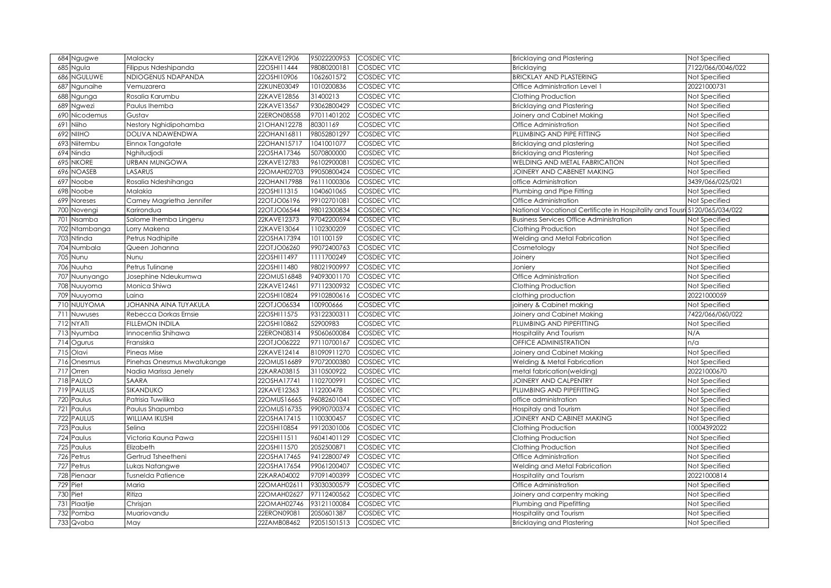| Ngugwe<br>684                | Malacky                    | 22KAVE12906                | 95022200953               | <b>COSDEC VTC</b>        | <b>Bricklaying and Plastering</b>                                          | Not Specified                  |
|------------------------------|----------------------------|----------------------------|---------------------------|--------------------------|----------------------------------------------------------------------------|--------------------------------|
| 685<br>Vgula                 | Filippus Ndeshipanda       | 22OSHI11444                | 98080200181               | COSDEC VTC               | <b>Bricklaying</b>                                                         | 7122/066/0046/022              |
| NGULUWE<br>686               | NDIOGENUS NDAPANDA         | 22OSHI10906                | 1062601572                | COSDEC VTC               | <b>BRICKLAY AND PLASTERING</b>                                             | Not Specified                  |
| 687<br>Ngunaihe              | Vemuzarera                 | 22KUNE03049                | 1010200836                | COSDEC VTC               | Office Administration Level 1                                              | 20221000731                    |
| <b>Jgunga</b><br>688         | Rosalia Karumbu            | 22KAVE12856                | 31400213                  | COSDEC VTC               | Clothing Production                                                        | Not Specified                  |
| 689<br>Ngwezi                | Paulus Ihemba              | 22KAVE13567                | 93062800429               | COSDEC VTC               | <b>Bricklaying and Plastering</b>                                          | Not Specified                  |
| Nicodemus<br>690             | Gustav                     | 22ERON08558                | 97011401202               | COSDEC VTC               | Joinery and Cabinet Making                                                 | Not Specified                  |
| 691<br>Viiho                 | Nestory Nghidipohamba      | 21OHAN12278                | 80301169                  | COSDEC VTC               | Office Administration                                                      | Not Specified                  |
| NIIHO<br>692                 | DOLIVA NDAWENDWA           | 22OHAN16811                | 98052801297               | COSDEC VTC               | PLUMBING AND PIPE FITTING                                                  | Not Specified                  |
| Niitembu<br>693              | Einnox Tangatate           | 22OHAN15717                | 1041001077                | <b>COSDEC VTC</b>        | Bricklaying and plastering                                                 | Not Specified                  |
| Ninda<br>694                 | Nghitudjodi                | 22OSHA17346                | 5070800000                | COSDEC VTC               | <b>Bricklaying and Plastering</b>                                          | Not Specified                  |
| 695<br><b>NKORE</b>          | URBAN MUNGOWA              | 22KAVE12783                | 96102900081               | COSDEC VTC               | WELDING AND METAL FABRICATION                                              | Not Specified                  |
| <b>NOASEB</b><br>696         | LASARUS                    | 22OMAH02703                | 99050800424               | <b>COSDEC VTC</b>        | JOINERY AND CABENET MAKING                                                 | Not Specified                  |
| Noobe<br>697                 | Rosalia Ndeshihanga        | 22OHAN17988                | 96111000306               | <b>COSDEC VTC</b>        | office Administration                                                      | 3439/066/025/021               |
| Noobe<br>698                 | Malakia                    | 22OSHI11315                | 1040601065                | <b>COSDEC VTC</b>        | Plumbing and Pipe Fitting                                                  | Not Specified                  |
| 699<br>Noreses               | Camey Magrietha Jennifer   | 22OTJO06196                | 99102701081               | <b>COSDEC VTC</b>        | Office Administration                                                      | Not Specified                  |
| <b>700</b><br>Novengi        | Karirondua                 | 22OTJO06544                | 98012300834               | COSDEC VTC               | National Vocational Certificate in Hospitality and Tousri 5120/065/034/022 |                                |
| 701<br>Nsamba                | Salome Ihemba Lingenu      | 22KAVE12373                | 97042200594               | COSDEC VTC               | <b>Business Services Office Administration</b>                             | Not Specified                  |
| Ntambanga<br>702             | Lorry Makena               | 22KAVE13064                | 1102300209                | COSDEC VTC               | Clothing Production                                                        | Not Specified                  |
| Ntinda<br>703                | Petrus Nadhipite           | 22OSHA17394                | 101100159                 | COSDEC VTC               | Welding and Metal Fabrication                                              | Not Specified                  |
| Numbala<br>704               | Queen Johanna              | 22OTJO06260                | 99072400763               | COSDEC VTC               | Cosmetology                                                                | Not Specified                  |
| 705<br>Nunu                  | Nunu                       | 22OSHI11497                | 1111700249                | COSDEC VTC               | Joinery                                                                    | Not Specified                  |
| Nuuha<br>706                 | Petrus Tulinane            | 22OSHI11480                | 98021900997               | COSDEC VTC               | Joniery                                                                    | Not Specified                  |
| 707<br>Nuunyango             | Josephine Ndeukumwa        | 22OMUS16848                | 94093001170               | COSDEC VTC               | Office Administration                                                      | Not Specified                  |
| 708<br>Nuuyoma               | Monica Shiwa               | 22KAVE12461                | 97112300932               | COSDEC VTC               | Clothing Production                                                        | Not Specified                  |
| 709<br>Nuuyoma               | Laina                      | 22OSHI10824                | 99102800616               | COSDEC VTC               | clothing production                                                        | 20221000059                    |
| NUUYOMA<br>710               | JOHANNA AINA TUYAKULA      | 22OTJO06534                | 100900666                 | COSDEC VTC               | joinery & Cabinet making                                                   | Not Specified                  |
| 711<br>Nuwuses               | Rebecca Dorkas Ernsie      | 22OSHI11575                | 93122300311               | COSDEC VTC               | Joinery and Cabinet Making                                                 | 7422/066/060/022               |
| 712<br>NYATI                 | FILLEMON INDILA            | 22OSHI10862                | 52900983                  | COSDEC VTC               | PLUMBING AND PIPEFITTING                                                   | Not Specified                  |
| Nyumba<br>713                | Innocentia Shihawa         | 22ERON08314                | 95060600084               | COSDEC VTC               | Hospitality And Tourism                                                    | N/A                            |
| Ogurus<br>714                | Fransiska                  | 22OTJO06222                | 97110700167               | COSDEC VTC               | OFFICE ADMINISTRATION                                                      | n/a                            |
| Olavi<br>715                 | Pineas Mise                | 22KAVE12414                | 81090911270               | COSDEC VTC               | Joinery and Cabinet Making                                                 | Not Specified                  |
| 716<br>Onesmus               | Pinehas Onesmus Mwatukange | 22OMUS16689                | 97072000380               | COSDEC VTC               | Welding & Metal Fabrication                                                | Not Specified                  |
| Orren<br>717                 | Nadia Marissa Jenely       | 22KARA03815                | 3110500922                | COSDEC VTC               | metal fabrication(welding)                                                 | 20221000670                    |
| PAULO<br>718                 | SAARA                      | 22OSHA17741                | 1102700991                | COSDEC VTC               | JOINERY AND CALPENTRY                                                      | Not Specified                  |
| <b>PAULUS</b><br>719         | SIKANDUKO                  | 22KAVE12363                | 112200478                 | COSDEC VTC               | PLUMBING AND PIPEFITTING                                                   | Not Specified                  |
| Paulus<br>720                | Patrisia Tuwilika          | 22OMUS16665                | 96082601041               | COSDEC VTC               | office administration                                                      | Not Specified                  |
| Paulus<br>721                | Paulus Shapumba            | 22OMUS16735                | 99090700374               | COSDEC VTC               | Hospitaly and Tourism                                                      | Not Specified                  |
| <b>PAULUS</b><br>722         | WILLIAM IKUSHI             | 22OSHA17415                | 1100300457                | COSDEC VTC               | JOINERY AND CABINET MAKING                                                 | Not Specified                  |
| Paulus<br>723                | Selina                     | 22OSHI10854                | 99120301006               | COSDEC VTC               | Clothing Production                                                        | 10004392022                    |
| 724<br>Paulus                | Victoria Kauna Pawa        | 22OSHI11511                | 96041401129               | COSDEC VTC               | Clothing Production                                                        | Not Specified                  |
| Paulus<br>725                | Elizabeth                  | 22OSHI11570                | 2052500871                | COSDEC VTC               | Clothing Production                                                        | Not Specified                  |
| 726<br>Petrus                | Gertrud Tsheetheni         | 22OSHA17465                | 94122800749               | COSDEC VTC               | Office Administration                                                      | Not Specified                  |
| Petrus<br>727                | Lukas Natangwe             | 22OSHA17654                | 99061200407               | COSDEC VTC               | Welding and Metal Fabrication                                              | Not Specified                  |
| 728<br>Pienaar               | Tusnelda Patience          | 22KARA04002                | 97091400399               | COSDEC VTC               | Hospitality and Tourism                                                    | 20221000814                    |
| Piet<br>729                  | Maria                      | 22OMAH02611                | 93030300579               | COSDEC VTC               | Office Administration                                                      | Not Specified                  |
| Piet<br>730                  | Ritiza                     | 22OMAH02627                | 97112400562               | COSDEC VTC               | Joinery and carpentry making                                               | Not Specified                  |
| Plaatjie<br>73               |                            |                            | 93121100084               | COSDEC VTC               | Plumbing and Pipefitting                                                   | Not Specified                  |
|                              | Chrisjan                   | 22OMAH02746                |                           |                          |                                                                            |                                |
| 732<br>Pomba<br>Qvaba<br>733 | Muariovandu<br>May         | 22ERON09081<br>22ZAMB08462 | 2050601387<br>92051501513 | COSDEC VTC<br>COSDEC VTC | Hospitality and Tourism<br><b>Bricklaying and Plastering</b>               | Not Specified<br>Not Specified |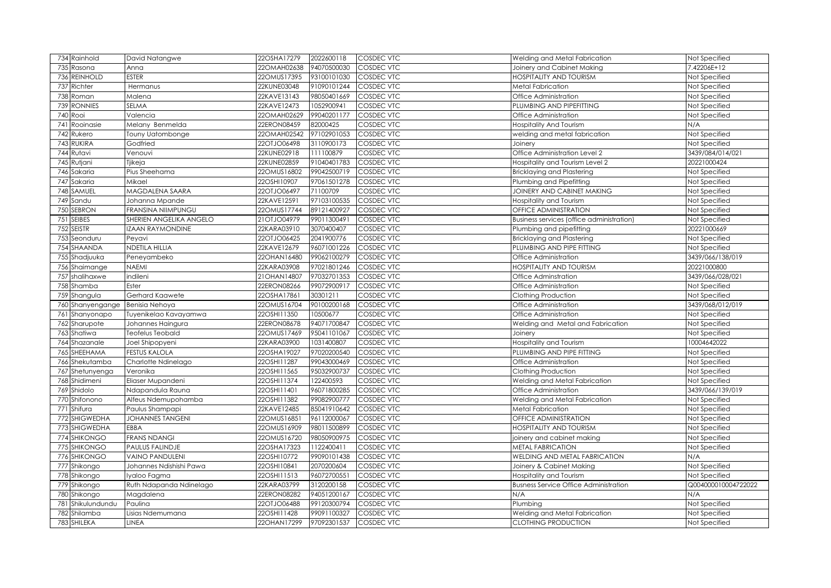| 734 Rainhold         | David Natangwe          | 22OSHA17279 | 2022600118  | <b>COSDEC VTC</b> | Welding and Metal Fabrication                    | Not Specified       |
|----------------------|-------------------------|-------------|-------------|-------------------|--------------------------------------------------|---------------------|
| 735<br>Rasona        | Anna                    | 22OMAH02638 | 94070500030 | COSDEC VTC        | Joinery and Cabinet Making                       | 7.42206E+12         |
| 736 REINHOLD         | <b>ESTER</b>            | 22OMUS17395 | 93100101030 | COSDEC VTC        | <b>HOSPITALITY AND TOURISM</b>                   | Not Specified       |
| 737 Richter          | Hermanus                | 22KUNE03048 | 91090101244 | COSDEC VTC        | <b>Metal Fabrication</b>                         | Not Specified       |
| 738 Roman            | Malena                  | 22KAVE13143 | 98050401669 | COSDEC VTC        | Office Administration                            | Not Specified       |
| 739 RONNIES          | SELMA                   | 22KAVE12473 | 1052900941  | COSDEC VTC        | PLUMBING AND PIPEFITTING                         | Not Specified       |
| Rooi<br>740          | Valencia                | 22OMAH02629 | 99040201177 | COSDEC VTC        | Office Administration                            | Not Specified       |
| Rooinasie<br>741     | Melany Benmelda         | 22ERON08459 | 82000425    | COSDEC VTC        | <b>Hospitality And Tourism</b>                   | N/A                 |
| Rukero<br>742        | Touny Uatombonge        | 22OMAH02542 | 97102901053 | <b>COSDEC VTC</b> | welding and metal fabrication                    | Not Specified       |
| 743 RUKIRA           | Godfried                | 22OTJO06498 | 3110900173  | <b>COSDEC VTC</b> | Joinery                                          | Not Specified       |
| 744 Rutavi           | Venouvi                 | 22KUNE02918 | 111100879   | COSDEC VTC        | Office Administration Level 2                    | 3439/084/014/021    |
| 745 Rutjani          | Tjikeja                 | 22KUNE02859 | 91040401783 | <b>COSDEC VTC</b> | Hospitality and Tourism Level 2                  | 20221000424         |
| 746 Sakaria          | Pius Sheehama           | 22OMUS16802 | 99042500719 | <b>COSDEC VTC</b> | <b>Bricklaying and Plastering</b>                | Not Specified       |
| 747 Sakaria          | Mikael                  | 22OSHI10907 | 97061501278 | <b>COSDEC VTC</b> | Plumbing and Pipefitting                         | Not Specified       |
| 748 SAMUEL           | MAGDALENA SAARA         | 22OTJO06497 | 71100709    | <b>COSDEC VTC</b> | JOINERY AND CABINET MAKING                       | Not Specified       |
| 749 Sandu            | Johanna Mpande          | 22KAVE12591 | 97103100535 | COSDEC VTC        | Hospitality and Tourism                          | Not Specified       |
| <b>SEBRON</b><br>750 | FRANSINA NIIMPUNGU      | 22OMUS17744 | 89121400927 | COSDEC VTC        | OFFICE ADMINISTRATION                            | Not Specified       |
| <b>SEIBES</b><br>751 | SHERIEN ANGELIKA ANGELO | 21OTJO04979 | 99011300491 | COSDEC VTC        | <b>Business services (office administration)</b> | Not Specified       |
| 752 SEISTR           | <b>IZAAN RAYMONDINE</b> | 22KARA03910 | 3070400407  | <b>COSDEC VTC</b> | Plumbing and pipefitting                         | 20221000669         |
| 753 Seonduru         | Peyavi                  | 22OTJO06425 | 2041900776  | COSDEC VTC        | Bricklaying and Plastering                       | Not Specified       |
| 754 SHAANDA          | NDETILA HILLIA          | 22KAVE12679 | 96071001226 | COSDEC VTC        | PLUMBING AND PIPE FITTING                        | Not Specified       |
| 755 Shadjuuka        | Peneyambeko             | 22OHAN16480 | 99062100279 | COSDEC VTC        | Office Administration                            | 3439/066/138/019    |
| 756 Shaimange        | NAEMI                   | 22KARA03908 | 97021801246 | COSDEC VTC        | <b>HOSPITALITY AND TOURISM</b>                   | 20221000800         |
| 757 shalihaxwe       | indileni                | 21OHAN14807 | 97032701353 | COSDEC VTC        | Office Adminstration                             | 3439/066/028/021    |
| 758 Shamba           | Ester                   | 22ERON08266 | 99072900917 | COSDEC VTC        | Office Administration                            | Not Specified       |
| 759 Shangula         | Gerhard Kaawete         | 22OSHA17861 | 30301211    | COSDEC VTC        | Clothing Production                              | Not Specified       |
| 760 Shanyengange     | Benisia Nehoya          | 22OMUS16704 | 90100200168 | COSDEC VTC        | Office Administration                            | 3439/068/012/019    |
| 761 Shanyonapo       | Tuyenikelao Kavayamwa   | 22OSHI11350 | 10500677    | COSDEC VTC        | Office Administration                            | Not Specified       |
| 762 Sharupote        | Johannes Haingura       | 22ERON08678 | 94071700847 | COSDEC VTC        | Welding and Metal and Fabrication                | Not Specified       |
| 763 Shatiwa          | <b>Teofelus Teobald</b> | 22OMUS17469 | 95041101067 | COSDEC VTC        | Joinery                                          | Not Specified       |
| 764 Shazanale        | Joel Shipopyeni         | 22KARA03900 | 1031400807  | COSDEC VTC        | Hospitality and Tourism                          | 10004642022         |
| 765 SHEEHAMA         | <b>FESTUS KALOLA</b>    | 22OSHA19027 | 97020200540 | COSDEC VTC        | PLUMBING AND PIPE FITTING                        | Not Specified       |
| 766 Shekutamba       | Charlotte Ndinelago     | 22OSHI11287 | 99043000469 | COSDEC VTC        | Office Administration                            | Not Specified       |
| 767 Shetunyenga      | Veronika                | 22OSHI11565 | 95032900737 | COSDEC VTC        | Clothing Production                              | Not Specified       |
| 768 Shidimeni        | Eliaser Mupandeni       | 22OSHI11374 | 122400593   | COSDEC VTC        | Welding and Metal Fabrication                    | Not Specified       |
| 769 Shidolo          | Ndapandula Rauna        | 22OSHI11401 | 96071800285 | COSDEC VTC        | Office Administration                            | 3439/066/139/019    |
| 770 Shifonono        | Alfeus Ndemupohamba     | 22OSHI11382 | 99082900777 | COSDEC VTC        | Welding and Metal Fabrication                    | Not Specified       |
| 771 Shifura          | Paulus Shampapi         | 22KAVE12485 | 85041910642 | COSDEC VTC        | Metal Fabrication                                | Not Specified       |
| 772 SHIGWEDHA        | <b>JOHANNES TANGENI</b> | 22OMUS16851 | 96112000067 | COSDEC VTC        | OFFICE ADMINISTRATION                            | Not Specified       |
| 773 SHIGWEDHA        | EBBA                    | 22OMUS16909 | 98011500899 | COSDEC VTC        | <b>HOSPITALITY AND TOURISM</b>                   | Not Specified       |
| 774 SHIKONGO         | <b>FRANS NDANGI</b>     | 22OMUS16720 | 98050900975 | COSDEC VTC        | joinery and cabinet making                       | Not Specified       |
| 775 SHIKONGO         | PAULUS FALINDJE         | 22OSHA17323 | 1122400411  | COSDEC VTC        | <b>METAL FABRICATION</b>                         | Not Specified       |
| 776 SHIKONGO         | <b>VAINO PANDULENI</b>  | 22OSHI10772 | 99090101438 | COSDEC VTC        | WELDING AND METAL FABRICATION                    | N/A                 |
| 777 Shikongo         | Johannes Ndishishi Pawa | 22OSHI10841 | 2070200604  | COSDEC VTC        | Joinery & Cabinet Making                         | Not Specified       |
| 778 Shikongo         | Iyaloo Fagma            | 22OSHI11513 | 96072700551 | COSDEC VTC        | Hospitality and Tourism                          | Not Specified       |
| 779 Shikongo         | Ruth Ndapanda Ndinelago | 22KARA03799 | 3120200158  | COSDEC VTC        | <b>Busness Service Office Administration</b>     | Q004000010004722022 |
| 780 Shikongo         | Magdalena               | 22ERON08282 | 94051200167 | COSDEC VTC        | N/A                                              | N/A                 |
| Shikulundundu<br>781 | Paulina                 | 22OTJO06488 | 99120300794 | COSDEC VTC        | Plumbing                                         | Not Specified       |
| 782 Shilamba         | Lisias Ndemumana        | 22OSHI11428 | 99091100327 | COSDEC VTC        | Welding and Metal Fabrication                    | Not Specified       |
| 783 SHILEKA          | LINEA                   | 22OHAN17299 | 97092301537 | COSDEC VTC        | CLOTHING PRODUCTION                              | Not Specified       |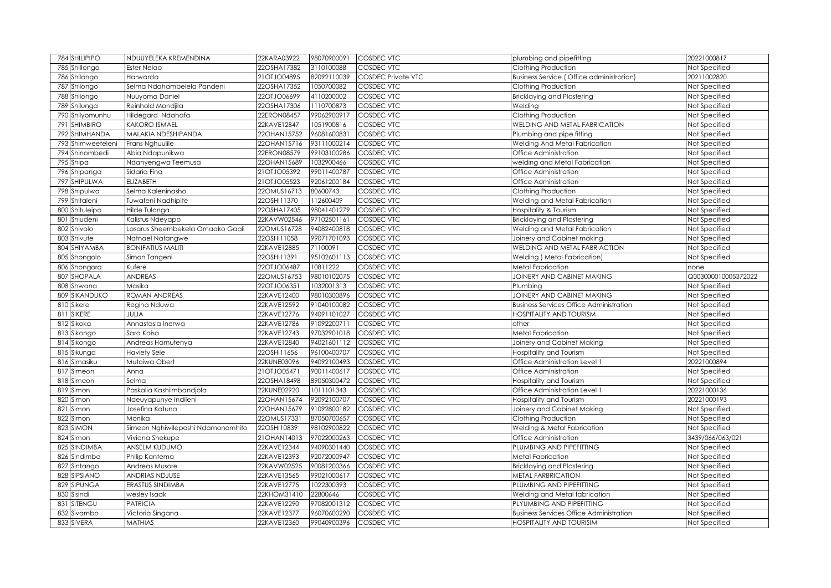| 784 SHILIPIPO          | NDUUYELEKA KREMENDINA             | 22KARA03922 | 98070900091 | <b>COSDEC VTC</b>         | plumbing and pipefitting                        | 20221000817          |
|------------------------|-----------------------------------|-------------|-------------|---------------------------|-------------------------------------------------|----------------------|
| 785 Shillongo          | Ester Nelao                       | 22OSHA17382 | 3110100088  | COSDEC VTC                | Clothing Production                             | Not Specified        |
| Shilongo<br>786        | Harwarda                          | 21OTJO04895 | 82092110039 | <b>COSDEC Private VTC</b> | <b>Business Service (Office administration)</b> | 20211002820          |
| 787<br>Shilongo        | Selma Ndahambelela Pandeni        | 22OSHA17352 | 1050700082  | <b>COSDEC VTC</b>         | Clothing Production                             | Not Specified        |
| 788<br>Shilongo        | Nuuyoma Daniel                    | 22OTJO06699 | 4110200002  | <b>COSDEC VTC</b>         | <b>Bricklaying and Plastering</b>               | Not Specified        |
| 789<br>Shilunga        | Reinhold Mondjila                 | 22OSHA17306 | 1110700873  | COSDEC VTC                | Welding                                         | Not Specified        |
| 790 Shilyomunhu        | Hildegard Ndahafa                 | 22ERON08457 | 99062900917 | COSDEC VTC                | Clothing Production                             | Not Specified        |
| 791<br><b>SHIMBIRO</b> | <b>KAKORO ISMAEL</b>              | 22KAVE12847 | 1051900816  | COSDEC VTC                | WELDING AND METAL FABRICATION                   | Not Specified        |
| SHIMHANDA<br>792       | MALAKIA NDESHIPANDA               | 22OHAN15752 | 96081600831 | COSDEC VTC                | Plumbing and pipe fitting                       | Not Specified        |
| 793 Shimweefeleni      | Frans Nghuulile                   | 22OHAN15716 | 93111000214 | COSDEC VTC                | Welding And Metal Fabrication                   | Not Specified        |
| Shinombedi<br>794      | Abia Ndapunikwa                   | 22ERON08579 | 99103100286 | COSDEC VTC                | Office Administration                           | Not Specified        |
| 795 Shipa              | Ndanyengwa Teemusa                | 22OHAN15689 | 1032900466  | COSDEC VTC                | welding and Metal Fabrication                   | Not Specified        |
| Shipanga<br>796        | Sidaria Fina                      | 21OTJO05392 | 99011400787 | COSDEC VTC                | Office Administration                           | Not Specified        |
| SHIPULWA<br>797        | <b>ELIZABETH</b>                  | 21OTJO05523 | 92061200184 | COSDEC VTC                | Office Administration                           | Not Specified        |
| Shipulwa<br>798        | Selma Kaleninasho                 | 22OMUS16713 | 80600743    | COSDEC VTC                | Clothing Production                             | Not Specified        |
| Shitaleni<br>799       | Tuwafeni Nadhipite                | 22OSHI11370 | 112600409   | COSDEC VTC                | Welding and Metal Fabrication                   | Not Specified        |
| Shituleipo<br>80C      | Hilde Tulonga                     | 22OSHA17405 | 98041401279 | COSDEC VTC                | Hospitality & Tourism                           | Not Specified        |
| 801<br>Shiudeni        | Kalistus Ndeyapo                  | 22KAVW02546 | 97102501161 | COSDEC VTC                | <b>Bricklaying and Plastering</b>               | Not Specified        |
| 802<br>Shivolo         | asarus Sheembekela Omaako Gaali   | 22OMUS16728 | 94082400818 | COSDEC VTC                | Welding and Metal Fabrication                   | Not Specified        |
| Shivute<br>803         | Natnael Natangwe                  | 22OSHI11058 | 99071701093 | COSDEC VTC                | Joinery and Cabinet making                      | Not Specified        |
| SHIYAMBA<br>804        | <b>BONIFATIUS MALITI</b>          | 22KAVE12885 | 71100091    | COSDEC VTC                | WELDING AND METAL FABRIACTION                   | Not Specified        |
| Shongolo<br>805        | Simon Tangeni                     | 22OSHI11391 | 95102601113 | <b>COSDEC VTC</b>         | Welding ) Metal Fabrication)                    | Not Specified        |
| 806<br>Shongora        | Kufere                            | 22OTJO06487 | 10811222    | COSDEC VTC                | Metal Fabrication                               | none                 |
| SHOPALA<br>807         | <b>ANDREAS</b>                    | 22OMUS16753 | 98010102075 | COSDEC VTC                | JOINERY AND CABINET MAKING                      | Q003000010005372022  |
| Shwana<br>808          | Masika                            | 22OTJO06351 | 1032001313  | COSDEC VTC                | Plumbing                                        | Not Specified        |
| SIKANDUKO<br>809       | ROMAN ANDREAS                     | 22KAVE12400 | 98010300896 | COSDEC VTC                | JOINERY AND CABINET MAKING                      | <b>Not Specified</b> |
| 810<br>Sikere          | Regina Nduwa                      | 22KAVE12592 | 91040100082 | COSDEC VTC                | <b>Business Services Office Administration</b>  | Not Specified        |
| SIKERE<br>811          | JULIA                             | 22KAVE12776 | 94091101027 | COSDEC VTC                | HOSPITALITY AND TOURISM                         | Not Specified        |
| Sikoka<br>812          | Annastasia Inerwa                 | 22KAVE12786 | 91092200711 | COSDEC VTC                | other                                           | Not Specified        |
| Sikongo<br>813         | Sara Kaisa                        | 22KAVE12743 | 97032901018 | COSDEC VTC                | Metal Fabrication                               | Not Specified        |
| 814<br>Sikongo         | Andreas Hamutenya                 | 22KAVE12840 | 94021601112 | COSDEC VTC                | Joinery and Cabinet Making                      | Not Specified        |
| 815 Sikunga            | <b>Haviety Sele</b>               | 22OSHI11656 | 96100400707 | COSDEC VTC                | Hospitality and Tourism                         | Not Specified        |
| 816<br>Simasiku        | Mutoiwa Obert                     | 22KUNE03096 | 94092100493 | COSDEC VTC                | Office Administration Level 1                   | 20221000894          |
| 817<br>Simeon          | Anna                              | 21OTJO05471 | 90011400617 | COSDEC VTC                | Office Administration                           | Not Specified        |
| Simeon<br>818          | Selma                             | 22OSHA18498 | 89050300472 | COSDEC VTC                | Hospitality and Tourism                         | Not Specified        |
| 819<br>Simon           | Paskalia Kashiimbandjola          | 22KUNE02920 | 1011101343  | COSDEC VTC                | Office Administration Level 1                   | 20221000136          |
| 820<br>Simon           | Ndeuyapunye Indileni              | 22OHAN15674 | 92092100707 | COSDEC VTC                | Hospitality and Tourism                         | 20221000193          |
| Simon<br>821           | Josefina Katuna                   | 22OHAN15679 | 91092800182 | COSDEC VTC                | Joinery and Cabinet Making                      | Not Specified        |
| 822<br>Simon           | Monika                            | 22OMUS17331 | 87050700657 | COSDEC VTC                | Clothing Production                             | Not Specified        |
| SIMON<br>823           | Simeon Nghiwileposhi Ndamonomhito | 22OSHI10839 | 98102900822 | COSDEC VTC                | Welding & Metal Fabrication                     | Not Specified        |
| 824<br>Simon           | Viviana Shekupe                   | 21OHAN14013 | 97022000263 | COSDEC VTC                | Office Administration                           | 3439/066/063/021     |
| SINDIMBA<br>825        | ANSELM KUDUMO                     | 22KAVE12344 | 94090301440 | COSDEC VTC                | PLUMBING AND PIPEFITTING                        | Not Specified        |
| 826<br>Sindimba        | Philip Kantema                    | 22KAVE12393 | 92072000947 | COSDEC VTC                | <b>Metal Fabrication</b>                        | <b>Vot Specified</b> |
| Sintango<br>827        | Andreas Musore                    | 22KAVW02525 | 90081200366 | COSDEC VTC                | <b>Bricklaying and Plastering</b>               | <b>Not Specified</b> |
| SIPSIANO<br>828        | ANDRIAS NDJUSE                    | 22KAVE13565 | 99021000617 | COSDEC VTC                | <b>METAL FARBRICATION</b>                       | <b>Not Specified</b> |
| SIPUNGA<br>829         | <b>ERASTUS SINDIMBA</b>           | 22KAVE12775 | 1022300393  | COSDEC VTC                | PLUMBING AND PIPEFITTING                        | <b>Not Specified</b> |
| 830<br>Sisindi         | wesley Isaak                      | 22KHOM31410 | 22800646    | COSDEC VTC                | Welding and Metal fabrication                   | <b>Not Specified</b> |
| <b>SITENGU</b><br>83   | <b>PATRICIA</b>                   | 22KAVE12290 | 97082001312 | COSDEC VTC                | PLYUMBING AND PIPEFITTING                       | <b>Not Specified</b> |
| 832<br>Sivambo         | Victoria Singana                  | 22KAVE12377 | 96070600290 | COSDEC VTC                | <b>Business Services Office Administration</b>  | Not Specified        |
| 833 SIVERA             | <b>MATHIAS</b>                    | 22KAVE12360 | 99040900396 | COSDEC VTC                | <b>HOSPITALITY AND TOURISIM</b>                 | Not Specified        |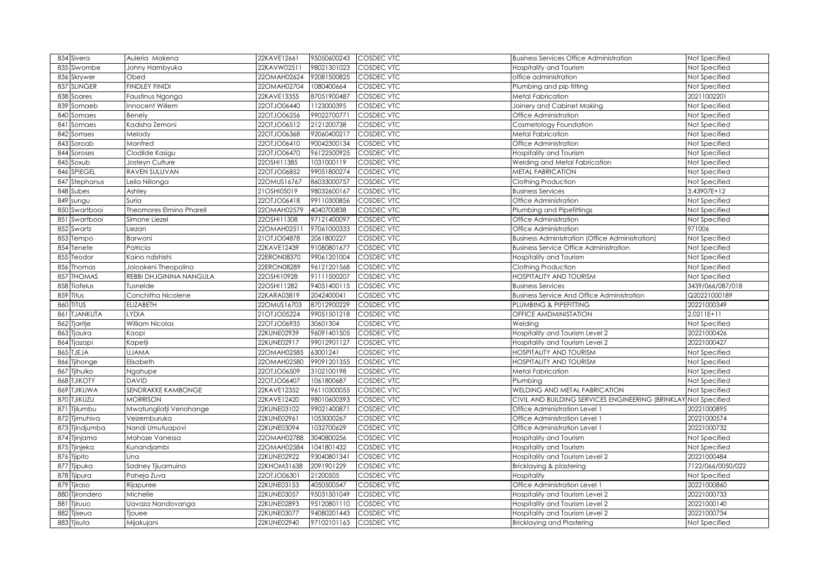|     | 834 Sivera                | Auleria Makena                  | 22KAVE12661                | 95050600243               | <b>COSDEC VTC</b>        | <b>Business Services Office Administration</b>                     | Not Specified              |
|-----|---------------------------|---------------------------------|----------------------------|---------------------------|--------------------------|--------------------------------------------------------------------|----------------------------|
|     | 835 Siwombe               | Johny Hambyuka                  | 22KAVW0251                 | 98021301023               | COSDEC VTC               | Hospitality and Tourism                                            | Not Specified              |
| 836 | Skrywer                   | Obed                            | 22OMAH02624                | 92081500825               | COSDEC VTC               | office administration                                              | Not Specified              |
|     | 837 SLINGER               | <b>FINDLEY FINIDI</b>           | 22OMAH02704                | 1080400664                | COSDEC VTC               | Plumbing and pip fitting                                           | Not Specified              |
| 838 | Soares                    | Faustinus Ngonga                | 22KAVE13355                | 87051900487               | COSDEC VTC               | Metal Fabrication                                                  | 20211002201                |
| 839 | Somaeb                    | Innocent Willem                 | 22OTJO06440                | 123000395                 | COSDEC VTC               | Joinery and Cabinet Making                                         | Not Specified              |
| 84C | Somaes                    | Benely                          | 22OTJO06256                | 99022700771               | COSDEC VTC               | Office Administration                                              | Not Specified              |
| 841 | Somaes                    | Kadisha Zemoni                  | 22OTJO06512                | 2121200738                | COSDEC VTC               | Cosmetology Foundation                                             | Not Specified              |
| 842 | Somses                    | Melody                          | 22OTJO06368                | 92060400217               | COSDEC VTC               | <b>Metal Fabrication</b>                                           | Not Specified              |
| 843 | Soroab                    | Manfred                         | 22OTJO06410                | 90042300134               | <b>COSDEC VTC</b>        | Office Administration                                              | Not Specified              |
|     | 844 Soroses               | Clodilde Kasigu                 | 22OTJO06470                | 96122500925               | COSDEC VTC               | Hospitality and Tourism                                            | Not Specified              |
| 845 | Soxub                     | Josteyn Culture                 | 22OSHI11385                | 1031000119                | <b>COSDEC VTC</b>        | Welding and Metal Fabrication                                      | Not Specified              |
| 846 | SPIEGEL                   | RAVEN SULLIVAN                  | 22OTJO06852                | 99051800274               | <b>COSDEC VTC</b>        | <b>METAL FABRICATION</b>                                           | Not Specified              |
| 847 | Stephanus                 | Leila Niilonga                  | 22OMUS16767                | 86033000757               | <b>COSDEC VTC</b>        | Clothing Production                                                | Not Specified              |
|     | 848 Subes                 | Ashley                          | 21OSHI05019                | 98032600167               | <b>COSDEC VTC</b>        | <b>Business Services</b>                                           | 3.43907E+12                |
|     | 849 sungu                 | Suria                           | 22OTJO06418                | 99110300856               | COSDEC VTC               | Office Administration                                              | Not Specified              |
| 850 | Swartbooi                 | <b>Theomores Elmino Pharell</b> | 22OMAH02579                | 4040700838                | <b>COSDEC VTC</b>        | Plumbing and Pipefittings                                          | Not Specified              |
| 851 | Swartbooi                 | Simone Liezel                   | 22OSHI11308                | 97121400097               | <b>COSDEC VTC</b>        | Office Administration                                              | Not Specified              |
|     | 852 Swartz                | Liezan                          | 22OMAH02511                | 97061000333               | COSDEC VTC               | Office Administration                                              | 971006                     |
|     | 853 Tempo                 | Barwoni                         | 21OTJO04878                | 2061800227                | COSDEC VTC               | <b>Business Administration (Office Administration)</b>             | Not Specified              |
|     | 854 Tenete                | Patricia                        | 22KAVE12439                | 91080801677               | COSDEC VTC               | <b>Business Service Office Administration</b>                      | Not Specified              |
|     | 855 Teodor                | Kaino ndishishi                 | 22ERON08370                | 99061201004               | COSDEC VTC               | Hospitality and Tourism                                            | Not Specified              |
|     | 856 Thomas                | Jolookeni Theopolina            | 22ERON08289                | 96121201568               | COSDEC VTC               | Clothing Production                                                | Not Specified              |
|     | 857 THOMAS                | REBBI DHJGININA NANGULA         | 22OSHI10928                | 91111500207               | COSDEC VTC               | <b>HOSPITALITY AND TOURISM</b>                                     | Not Specified              |
|     | 858 Tiofelus              | Tusnelde                        | 22OSHI11282                | 94051400115               | COSDEC VTC               | <b>Business Services</b>                                           | 3439/066/087/018           |
|     | 859 Titus                 | Conchitha Nicolene              | 22KARA03819                | 2042400041                | COSDEC VTC               | <b>Business Service And Office Administration</b>                  | Q20221000189               |
|     | 860 TITUS                 | <b>ELIZABETH</b>                | 22OMUS16703                | 87012900229               | COSDEC VTC               | PLUMBING & PIPEFITTING                                             | 20221000349                |
|     | 861 TJANKUTA              | LYDIA                           | 21OTJO05224                | 99051501218               | COSDEC VTC               | OFFICE AMDMINISTATION                                              | 2.0211E+11                 |
|     | 862 Tjaritje              | William Nicolas                 | 22OTJO06935                | 30601304                  | COSDEC VTC               | Welding                                                            | Not Specified              |
|     | 863 Tjauira               | Kaopi                           | 22KUNE02939                | 96091401505               | COSDEC VTC               | Hospitality and Tourism Level 2                                    | 20221000426                |
|     | 864 Tjazapi               | Kapetji                         | 22KUNE02917                | 99012901127               | COSDEC VTC               | Hospitality and Tourism Level 2                                    | 20221000427                |
|     | 865 TJEJA                 | <b>UJAMA</b>                    | 22OMAH02585                | 63001241                  | COSDEC VTC               | <b>HOSPITALITY AND TOURISM</b>                                     | Not Specified              |
|     | 866 Tjihonge              | Elisabeth                       | 22OMAH02580                | 99091201355               | <b>COSDEC VTC</b>        | <b>HOSPITALITY AND TOURISM</b>                                     | Not Specified              |
|     | 867 Tjihuiko              | Ngahupe                         | 22OTJO06509                | 3102100198                | COSDEC VTC               | <b>Metal Fabrication</b>                                           | Not Specified              |
|     | 868 TJIKOTY               | <b>DAVID</b>                    | 22OTJO06407                | 1061800687                | COSDEC VTC               | Plumbing                                                           | Not Specified              |
|     | 869 TJIKUWA               | SENDRAKKE KAMBONGE              | 22KAVE12352                | 96110300055               | COSDEC VTC               | WELDING AND METAL FABRICATION                                      | Not Specified              |
|     | 870 TJIKUZU               | <b>MORRISON</b>                 | 22KAVE12420                | 98010600393               | COSDEC VTC               | CIVIL AND BUILDING SERVICES ENGINEERING (BRINKLAY Not Specified    |                            |
|     | 871 Tjilumbu              | Mwatungilatji Venohange         | 22KUNE03102                | 99021400871               | COSDEC VTC               | Office Administration Level 1                                      | 20221000895                |
|     | 872 Tjimuhiva             | Veizemburuka                    | 22KUNE02961                | 1053000267                | COSDEC VTC               | Office Administration Level 1                                      | 20221000574                |
|     | 873 Tjindjumba            | Nandi Umutuapovi                | 22KUNE03094                | 1032700629                | COSDEC VTC               | Office Administration Level 1                                      | 20221000732                |
|     | 874 Tjinjama              | Mahoze Vanessa                  | 22OMAH02788                | 3040800256                | COSDEC VTC               | Hospitality and Tourism                                            | Not Specified              |
|     | 875 Tjinjeka              | Kunandjambi                     | 22OMAH02584                | 1041801432                | COSDEC VTC               | Hospitality and Tourism                                            | Not Specified              |
|     | 876 Tjipito               | Lina                            | 22KUNE02922                | 93040801341<br>2091901229 | COSDEC VTC               | Hospitality and Tourism Level 2                                    | 20221000484                |
|     | 877 Tjipuka               | Sadney Tjiuamuina               | 22KHOM31638                | 21200505                  | COSDEC VTC               | Bricklaying & plastering                                           | 7122/066/0050/022          |
|     | 878 Tjipura               | Paheja Zuva                     | 22OTJO06301                | 4050500547                | COSDEC VTC               | Hospitality                                                        | Not Specified              |
| 880 | 879 Tjiraso<br>Tjirondero | Rijapuree<br>Michelle           | 22KUNE03153<br>22KUNE03057 | 95031501049               | COSDEC VTC<br>COSDEC VTC | Office Administration Level 1<br>Hospitality and Tourism Level 2   | 20221000860<br>20221000733 |
| 881 |                           | Uavaza Nandovanga               | 22KUNE02893                | 95120801110               | COSDEC VTC               |                                                                    | 20221000140                |
| 882 | Tjiruuo<br>Tjiseua        | Tiouee                          | 22KUNE03077                | 94080201443               | COSDEC VTC               | Hospitality and Tourism Level 2<br>Hospitality and Tourism Level 2 | 20221000734                |
|     |                           |                                 |                            |                           |                          |                                                                    |                            |
|     | 883 Tjisuta               | Mijakujani                      | 22KUNE02940                | 97102101163               | COSDEC VTC               | <b>Bricklaying and Plastering</b>                                  | Not Specified              |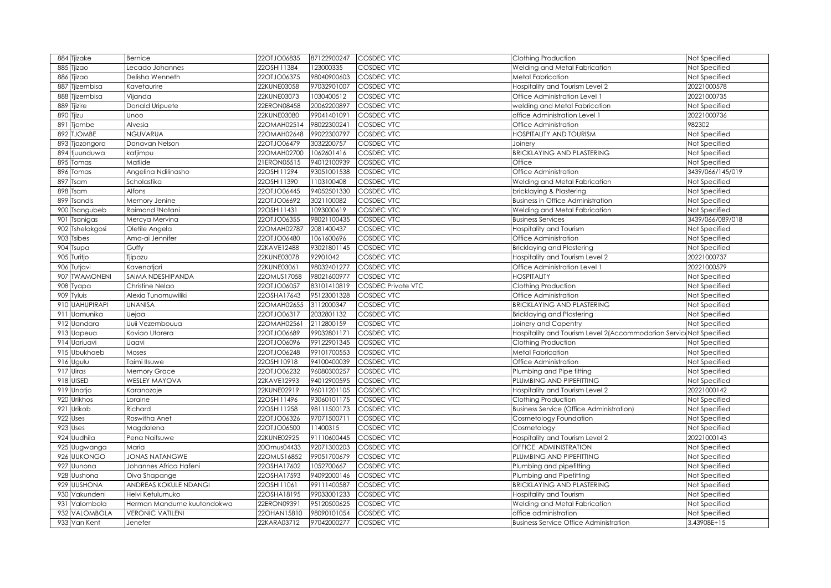| 884 Tjizake      | Bernice                    | 22OTJO06835 | 87122900247 | <b>COSDEC VTC</b>         | Clothing Production                                                 | Not Specified        |
|------------------|----------------------------|-------------|-------------|---------------------------|---------------------------------------------------------------------|----------------------|
| 885 Tjizao       | Lecado Johannes            | 22OSHI11384 | 123000335   | COSDEC VTC                | Welding and Metal Fabrication                                       | Not Specified        |
| 886 Tjizao       | Delisha Wenneth            | 22OTJO06375 | 98040900603 | COSDEC VTC                | Metal Fabrication                                                   | Not Specified        |
| 887 Tjizembisa   | Kavetaurire                | 22KUNE03058 | 97032901007 | COSDEC VTC                | Hospitality and Tourism Level 2                                     | 20221000578          |
| 888 Tjizembisa   | Vijanda                    | 22KUNE03073 | 1030400512  | COSDEC VTC                | Office Administration Level 1                                       | 20221000735          |
| 889 Tjizire      | Donald Uripuete            | 22ERON08458 | 20062200897 | COSDEC VTC                | welding and Metal Fabrication                                       | Not Specified        |
| 890 Tjizu        | Unoo                       | 22KUNE03080 | 99041401091 | COSDEC VTC                | office Administration Level 1                                       | 20221000736          |
| 891 Tiombe       | Alvesia                    | 22OMAH02514 | 98022300241 | COSDEC VTC                | Office Administration                                               | 982302               |
| 892 TJOMBE       | <b>NGUVARUA</b>            | 22OMAH02648 | 99022300797 | COSDEC VTC                | <b>HOSPITALITY AND TOURISM</b>                                      | Not Specified        |
| 893 Tjozongoro   | Donavan Nelson             | 22OTJO06479 | 3032200757  | <b>COSDEC VTC</b>         | Joinery                                                             | Not Specified        |
| 894 tjuunduwa    | katjimpu                   | 22OMAH02700 | 1062601416  | COSDEC VTC                | <b>BRICKLAYING AND PLASTERING</b>                                   | Not Specified        |
| 895 Tomas        | Matlide                    | 21ERON05515 | 94012100939 | COSDEC VTC                | Office                                                              | Not Specified        |
| 896 Tomas        | Angelina Ndilinasho        | 22OSHI11294 | 93051001538 | COSDEC VTC                | Office Administration                                               | 3439/066/145/019     |
| 897<br>Tsam      | Scholastika                | 22OSHI11390 | 1103100408  | COSDEC VTC                | Welding and Metal Fabrication                                       | Not Specified        |
| 898 Tsam         | Alfons                     | 22OTJO06445 | 94052501330 | COSDEC VTC                | bricklaying & Plastering                                            | Not Specified        |
| 899 Tsandis      | Memory Jenine              | 22OTJO06692 | 3021100082  | COSDEC VTC                | <b>Business in Office Administration</b>                            | Not Specified        |
| 900<br>Tsangubeb | Raimond !Notani            | 22OSHI11431 | 1093000619  | COSDEC VTC                | Welding and Metal Fabrication                                       | Not Specified        |
| 901<br>Tsanigas  | Mercya Mervina             | 22OTJO06355 | 98021100435 | COSDEC VTC                | <b>Business Services</b>                                            | 3439/066/089/018     |
| 902 Tshelakgosi  | Oletile Angela             | 22OMAH02787 | 2081400437  | COSDEC VTC                | Hospitality and Tourism                                             | Not Specified        |
| 903 Tsibes       | Ama-ai Jennifer            | 22OTJO06480 | 1061600696  | COSDEC VTC                | Office Administration                                               | Not Specified        |
| 904 Tsupa        | Guffy                      | 22KAVE12488 | 93021801145 | <b>COSDEC VTC</b>         | Bricklaying and Plastering                                          | Not Specified        |
| 905 Turitjo      | Tjipazu                    | 22KUNE03078 | 92901042    | COSDEC VTC                | Hospitality and Tourism Level 2                                     | 20221000737          |
| 906 Tutjavi      | Kavenatjari                | 22KUNE03061 | 98032401277 | COSDEC VTC                | Office Administration Level 1                                       | 20221000579          |
| 907 TWAMONENI    | SAIMA NDESHIPANDA          | 22OMUS17058 | 98021600977 | COSDEC VTC                | <b>HOSPITALITY</b>                                                  | Not Specified        |
| 908 Tyapa        | Christine Nelao            | 22OTJO06057 | 83101410819 | <b>COSDEC Private VTC</b> | Clothing Production                                                 | Not Specified        |
| 909 Tyluis       | Alexia Tunomuwiliki        | 22OSHA17643 | 95123001328 | COSDEC VTC                | Office Administration                                               | <b>Vot Specified</b> |
| 910 UAHUPIRAPI   | <b>UNANISA</b>             | 22OMAH02655 | 3112000347  | <b>COSDEC VTC</b>         | <b>BRICKLAYING AND PLASTERING</b>                                   | <b>Not Specified</b> |
| 911 Uamunika     | Uejaa                      | 22OTJO06317 | 2032801132  | COSDEC VTC                | Bricklaying and Plastering                                          | Not Specified        |
| 912 Uandara      | Uuii Vezembouua            | 22OMAH02561 | 2112800159  | <b>COSDEC VTC</b>         | Joinery and Capentry                                                | Not Specified        |
| 913 Uapeua       | Koviao Utarera             | 22OTJO06689 | 99032801171 | <b>COSDEC VTC</b>         | Hospitality and Tourism Level 2(Accommodation Servict Not Specified |                      |
| 914 Uariuavi     | Uaavi                      | 22OTJO06096 | 99122901345 | <b>COSDEC VTC</b>         | Clothing Production                                                 | Not Specified        |
| 915 Ubukhaeb     | Moses                      | 22OTJO06248 | 99101700553 | <b>COSDEC VTC</b>         | Metal Fabrication                                                   | <b>Vot Specified</b> |
| 916 Ugulu        | Taimi Ilsuwe               | 22OSHI10918 | 94100400039 | <b>COSDEC VTC</b>         | Office Administration                                               | Not Specified        |
| 917 Uiras        | <b>Memory Grace</b>        | 22OTJO06232 | 96080300257 | COSDEC VTC                | Plumbing and Pipe fitting                                           | <b>Not Specified</b> |
| 918 UISED        | <b>WESLEY MAYOVA</b>       | 22KAVE12993 | 94012900595 | COSDEC VTC                | PLUMBING AND PIPEFITTING                                            | Not Specified        |
| 919 Unatjo       | Karanozoje                 | 22KUNE02919 | 96011201105 | <b>COSDEC VTC</b>         | Hospitality and Tourism Level 2                                     | 20221000142          |
| 920 Urikhos      | Loraine                    | 22OSHI11496 | 93060101175 | <b>COSDEC VTC</b>         | Clothing Production                                                 | Not Specified        |
| 921 Urikob       | Richard                    | 22OSHI11258 | 98111500173 | <b>COSDEC VTC</b>         | <b>Business Service (Office Administration)</b>                     | Not Specified        |
| 922 Uses         | Roswitha Anet              | 22OTJO06326 | 97071500711 | COSDEC VTC                | Cosmetology Foundation                                              | Not Specified        |
| 923 Uses         | Magdalena                  | 22OTJO06500 | 11400315    | COSDEC VTC                | Cosmetology                                                         | Not Specified        |
| 924 Uudhila      | Pena Naitsuwe              | 22KUNE02925 | 91110600445 | <b>COSDEC VTC</b>         | Hospitality and Tourism Level 2                                     | 20221000143          |
| 925 Uugwanga     | Maria                      | 200mus04433 | 92071300203 | COSDEC VTC                | OFFICE ADMINISTRATION                                               | <b>Not Specified</b> |
| 926 UUKONGO      | <b>JONAS NATANGWE</b>      | 22OMUS16852 | 99051700679 | COSDEC VTC                | PLUMBING AND PIPEFITTING                                            | Not Specified        |
| 927 Uunona       | Johannes Africa Hafeni     | 22OSHA17602 | 1052700667  | COSDEC VTC                | Plumbing and pipefitting                                            | <b>Not Specified</b> |
| 928 Uushona      | Oiva Shapange              | 22OSHA17593 | 94092000146 | COSDEC VTC                | Plumbing and Pipefitting                                            | Not Specified        |
| 929 UUSHONA      | ANDREAS KOKULE NDANGI      | 22OSHI11061 | 99111400587 | COSDEC VTC                | <b>BRICKLAYING AND PLASTERING</b>                                   | <b>Not Specified</b> |
| 930 Vakundeni    | Helvi Ketulumuko           | 22OSHA18195 | 99033001233 | COSDEC VTC                | Iospitality and Tourism                                             | Not Specified        |
| 931<br>Valombola | Herman Mandume kuutondokwa | 22ERON09391 | 95120500625 | COSDEC VTC                | Welding and Metal Fabrication                                       | <b>Vot Specified</b> |
| 932 VALOMBOLA    | <b>VERONIC VATILENI</b>    | 22OHAN15810 | 98090101054 | COSDEC VTC                | office administration                                               | Not Specified        |
| 933 Van Kent     | Jenefer                    | 22KARA03712 | 97042000277 | COSDEC VTC                | <b>Business Service Office Administration</b>                       | 3.43908E+15          |